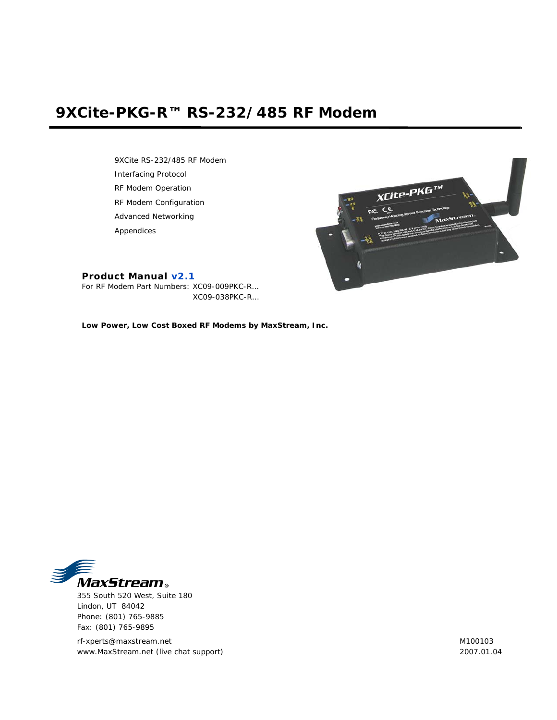# **9XCite-PKG-R™ RS-232/485 RF Modem**

9XCite RS-232/485 RF Modem Interfacing Protocol RF Modem Operation RF Modem Configuration Advanced Networking Appendices



## **Product Manual v2.1**

For RF Modem Part Numbers: XC09-009PKC-R… XC09-038PKC-R…

**Low Power, Low Cost Boxed RF Modems by MaxStream, Inc.**



355 South 520 West, Suite 180 Lindon, UT 84042 Phone: (801) 765-9885 Fax: (801) 765-9895

rf-xperts@maxstream.net www.MaxStream.net (live chat support) M100103 2007.01.04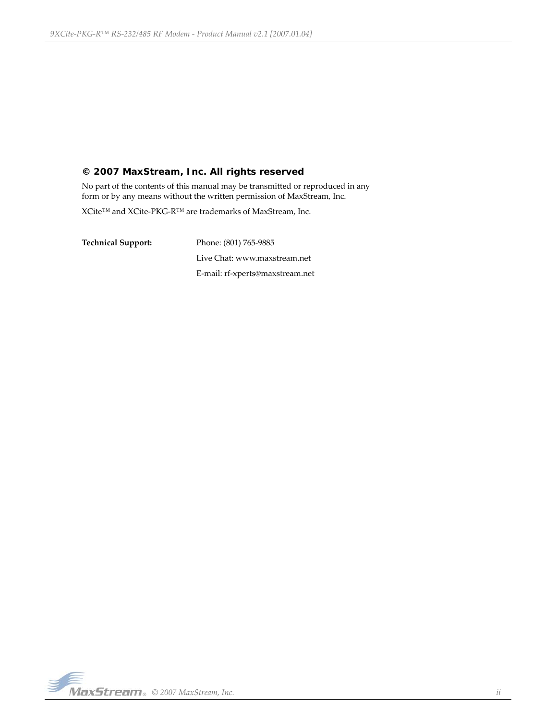## **© 2007 MaxStream, Inc. All rights reserved**

No part of the contents of this manual may be transmitted or reproduced in any form or by any means without the written permission of MaxStream, Inc.

XCite™ and XCite‐PKG‐R™ are trademarks of MaxStream, Inc.

**Technical Support:** Phone: (801) 765‐9885 Live Chat: www.maxstream.net E‐mail: rf‐xperts@maxstream.net

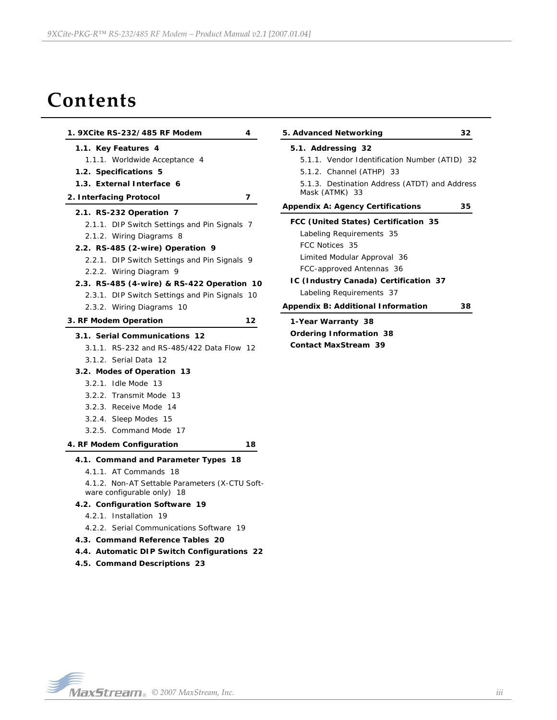# **Contents**

| 1. 9XCite RS-232/485 RF Modem<br>4             | 5. Advanced Networking                       | 32 |
|------------------------------------------------|----------------------------------------------|----|
| 1.1. Key Features 4                            | 5.1. Addressing 32                           |    |
| 1.1.1. Worldwide Acceptance 4                  | 5.1.1. Vendor Identification Number (ATID) 3 |    |
| 1.2. Specifications 5                          | 5.1.2. Channel (ATHP) 33                     |    |
| 1.3. External Interface 6                      | 5.1.3. Destination Address (ATDT) and Addres |    |
| 2. Interfacing Protocol<br>7                   | Mask (ATMK) 33                               |    |
| 2.1. RS-232 Operation 7                        | <b>Appendix A: Agency Certifications</b>     | 35 |
| 2.1.1. DIP Switch Settings and Pin Signals 7   | FCC (United States) Certification 35         |    |
| 2.1.2. Wiring Diagrams 8                       | Labeling Requirements 35                     |    |
| 2.2. RS-485 (2-wire) Operation 9               | FCC Notices 35                               |    |
| 2.2.1. DIP Switch Settings and Pin Signals 9   | Limited Modular Approval 36                  |    |
| 2.2.2. Wiring Diagram 9                        | FCC-approved Antennas 36                     |    |
| 2.3. RS-485 (4-wire) & RS-422 Operation 10     | IC (Industry Canada) Certification 37        |    |
| 2.3.1. DIP Switch Settings and Pin Signals 10  | Labeling Requirements 37                     |    |
| 2.3.2. Wiring Diagrams 10                      | <b>Appendix B: Additional Information</b>    | 38 |
| 3. RF Modem Operation<br>12                    | 1-Year Warranty 38                           |    |
| 3.1. Serial Communications 12                  | <b>Ordering Information 38</b>               |    |
| 3.1.1. RS-232 and RS-485/422 Data Flow 12      | <b>Contact MaxStream 39</b>                  |    |
| 3.1.2. Serial Data 12                          |                                              |    |
| 3.2. Modes of Operation 13                     |                                              |    |
| 3.2.1. Idle Mode 13                            |                                              |    |
| 3.2.2. Transmit Mode 13                        |                                              |    |
| 3.2.3. Receive Mode 14                         |                                              |    |
| 3.2.4. Sleep Modes 15                          |                                              |    |
| 3.2.5. Command Mode 17                         |                                              |    |
| 18<br>4. RF Modem Configuration                |                                              |    |
| 4.1. Command and Parameter Types 18            |                                              |    |
| 4.1.1. AT Commands 18                          |                                              |    |
| 4.1.2. Non-AT Settable Parameters (X-CTU Soft- |                                              |    |
| ware configurable only) 18                     |                                              |    |
| 4.2. Configuration Software 19                 |                                              |    |
| 4.2.1. Installation 19                         |                                              |    |
| 4.2.2. Serial Communications Software 19       |                                              |    |
| 4.3. Command Reference Tables 20               |                                              |    |
| 4.4. Automatic DIP Switch Configurations 22    |                                              |    |
| 4.5. Command Descriptions 23                   |                                              |    |

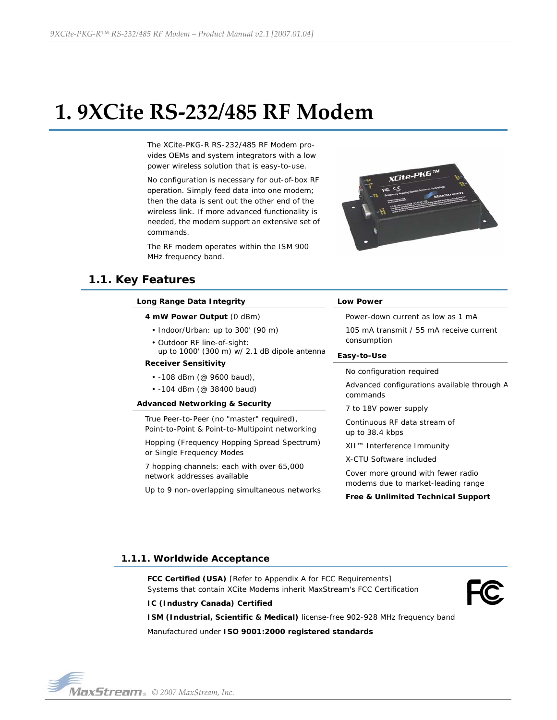# <span id="page-3-0"></span>**1. 9XCite RS‐232/485 RF Modem**

The XCite-PKG-R RS-232/485 RF Modem provides OEMs and system integrators with a low power wireless solution that is easy-to-use.

No configuration is necessary for out-of-box RF operation. Simply feed data into one modem; then the data is sent out the other end of the wireless link. If more advanced functionality is needed, the modem support an extensive set of commands.

The RF modem operates within the ISM 900 MHz frequency band.



# <span id="page-3-1"></span>**1.1. Key Features**

| Long Range Data Integrity                                                                    | <b>Low Power</b>                                                         |  |
|----------------------------------------------------------------------------------------------|--------------------------------------------------------------------------|--|
| 4 mW Power Output (0 dBm)                                                                    | Power-down current as low as 1 mA                                        |  |
| • Indoor/Urban: up to 300' (90 m)                                                            | 105 mA transmit / 55 mA receive current                                  |  |
| • Outdoor RF line-of-sight:<br>up to 1000' (300 m) w/ 2.1 dB dipole antenna                  | consumption<br>Easy-to-Use                                               |  |
| <b>Receiver Sensitivity</b>                                                                  |                                                                          |  |
| • -108 dBm (@ 9600 baud),                                                                    | No configuration required                                                |  |
| $\cdot$ -104 dBm (@ 38400 baud)                                                              | Advanced configurations available through A<br>commands                  |  |
| <b>Advanced Networking &amp; Security</b>                                                    | 7 to 18V power supply                                                    |  |
| True Peer-to-Peer (no "master" required),<br>Point-to-Point & Point-to-Multipoint networking | Continuous RE data stream of<br>up to 38.4 kbps                          |  |
| Hopping (Frequency Hopping Spread Spectrum)<br>or Single Frequency Modes                     | XII™ Interference Immunity                                               |  |
|                                                                                              | X-CTU Software included                                                  |  |
| 7 hopping channels: each with over 65,000<br>network addresses available                     | Cover more ground with fewer radio<br>modems due to market-leading range |  |
| Up to 9 non-overlapping simultaneous networks                                                | Free & Unlimited Technical Support                                       |  |

## <span id="page-3-2"></span>**1.1.1. Worldwide Acceptance**

**FCC Certified (USA)** [Refer to Appendix A for FCC Requirements] Systems that contain XCite Modems inherit MaxStream's FCC Certification



## **IC (Industry Canada) Certified**

**ISM (Industrial, Scientific & Medical)** license-free 902-928 MHz frequency band Manufactured under **ISO 9001:2000 registered standards**

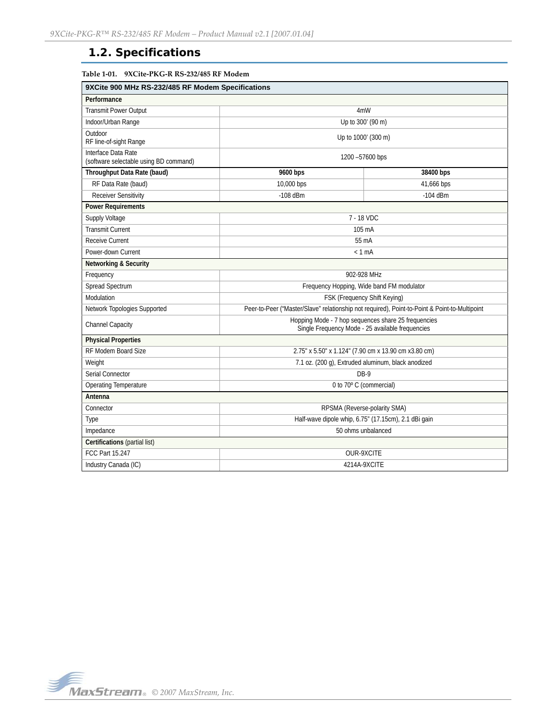# <span id="page-4-0"></span>**1.2. Specifications**

## **Table 1‐01. 9XCite‐PKG‐R RS‐232/485 RF Modem**

| 9XCite 900 MHz RS-232/485 RF Modem Specifications             |                                                                                                         |            |  |
|---------------------------------------------------------------|---------------------------------------------------------------------------------------------------------|------------|--|
| Performance                                                   |                                                                                                         |            |  |
| <b>Transmit Power Output</b>                                  | 4mW                                                                                                     |            |  |
| Indoor/Urban Range                                            | Up to 300' (90 m)                                                                                       |            |  |
| Outdoor<br>RF line-of-sight Range                             | Up to 1000' (300 m)                                                                                     |            |  |
| Interface Data Rate<br>(software selectable using BD command) | 1200 -57600 bps                                                                                         |            |  |
| Throughput Data Rate (baud)                                   | 9600 bps<br>38400 bps                                                                                   |            |  |
| RF Data Rate (baud)                                           | 10,000 bps                                                                                              | 41,666 bps |  |
| <b>Receiver Sensitivity</b>                                   | $-108$ dBm                                                                                              | $-104$ dBm |  |
| <b>Power Requirements</b>                                     |                                                                                                         |            |  |
| Supply Voltage                                                | 7 - 18 VDC                                                                                              |            |  |
| <b>Transmit Current</b>                                       | 105 mA                                                                                                  |            |  |
| <b>Receive Current</b>                                        | 55 mA                                                                                                   |            |  |
| Power-down Current                                            | $< 1$ mA                                                                                                |            |  |
| <b>Networking &amp; Security</b>                              |                                                                                                         |            |  |
| Frequency                                                     | 902-928 MHz                                                                                             |            |  |
| Spread Spectrum                                               | Frequency Hopping, Wide band FM modulator                                                               |            |  |
| Modulation                                                    | FSK (Frequency Shift Keying)                                                                            |            |  |
| Network Topologies Supported                                  | Peer-to-Peer ("Master/Slave" relationship not required), Point-to-Point & Point-to-Multipoint           |            |  |
| Channel Capacity                                              | Hopping Mode - 7 hop sequences share 25 frequencies<br>Single Frequency Mode - 25 available frequencies |            |  |
| <b>Physical Properties</b>                                    |                                                                                                         |            |  |
| RF Modem Board Size                                           | 2.75" x 5.50" x 1.124" (7.90 cm x 13.90 cm x3.80 cm)                                                    |            |  |
| Weight                                                        | 7.1 oz. (200 g), Extruded aluminum, black anodized                                                      |            |  |
| Serial Connector                                              | DB-9                                                                                                    |            |  |
| Operating Temperature                                         | 0 to 70° C (commercial)                                                                                 |            |  |
| Antenna                                                       |                                                                                                         |            |  |
| Connector                                                     | RPSMA (Reverse-polarity SMA)                                                                            |            |  |
| Type                                                          | Half-wave dipole whip, 6.75" (17.15cm), 2.1 dBi gain                                                    |            |  |
| Impedance                                                     | 50 ohms unbalanced                                                                                      |            |  |
| Certifications (partial list)                                 |                                                                                                         |            |  |
| <b>FCC Part 15.247</b>                                        | OUR-9XCITE                                                                                              |            |  |
| Industry Canada (IC)                                          | 4214A-9XCITE                                                                                            |            |  |

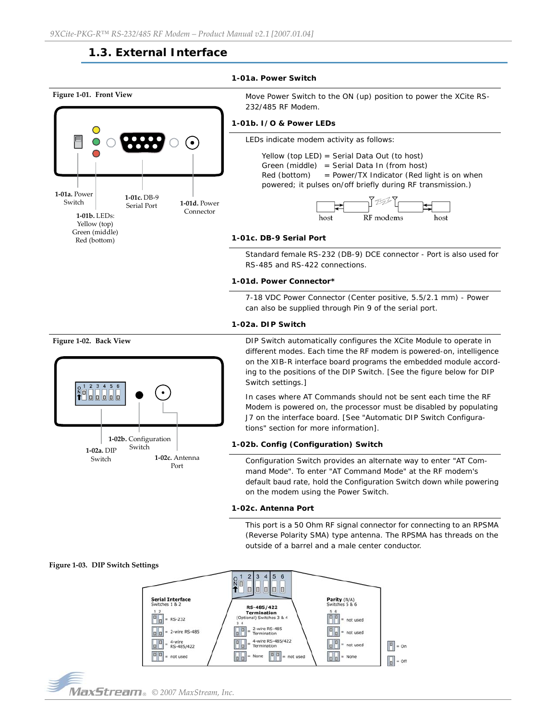# **1.3. External Interface**

#### **1-01a. Power Switch**

<span id="page-5-0"></span>

4-wire RS-485/422<br>Termination

 $\boxed{0}$ 

 $=$  not used

None

 $\sqrt{a}$ 

 $\vert$ o $\vert$ o $\vert$ 

not used

 $= None$ 

 $\left|\mathbb{I}\right|$  = On

 $\boxed{0}$  = Off

 $\begin{array}{|c|c|}\n\hline\n0 & 0 \\
\hline\n\end{array}$ 



 $\boxed{0}$ 

4-wire<br>RS-485/422

= not used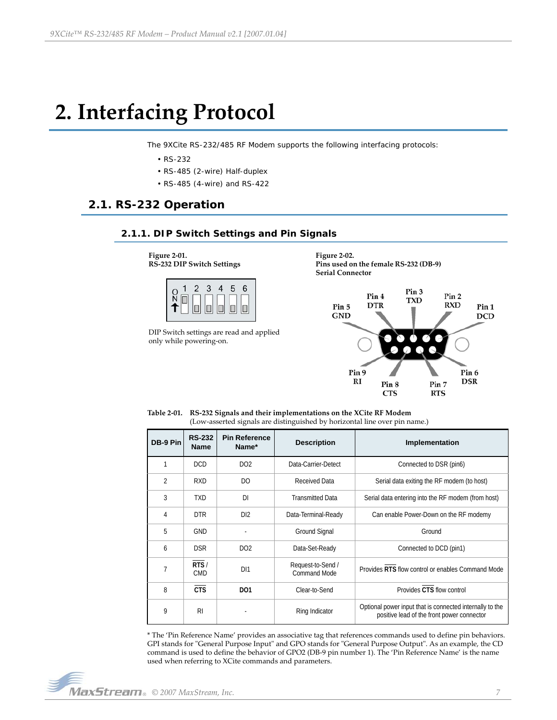# <span id="page-6-0"></span>**2. Interfacing Protocol**

The 9XCite RS-232/485 RF Modem supports the following interfacing protocols:

- RS-232
- RS-485 (2-wire) Half-duplex
- RS-485 (4-wire) and RS-422

## <span id="page-6-2"></span><span id="page-6-1"></span>**2.1. RS-232 Operation**

## **2.1.1. DIP Switch Settings and Pin Signals**

**Figure 2‐01. RS‐232 DIP Switch Settings**



DIP Switch settings are read and applied only while powering‐on.

**Figure 2‐02. Pins used on the female RS‐232 (DB‐9) Serial Connector**



**Table 2‐01. RS‐232 Signals and their implementations on the XCite RF Modem** (Low‐asserted signals are distinguished by horizontal line over pin name.)

| DB-9 Pin       | <b>RS-232</b><br><b>Name</b> | <b>Pin Reference</b><br>Name* | <b>Description</b>                       | Implementation                                                                                         |  |
|----------------|------------------------------|-------------------------------|------------------------------------------|--------------------------------------------------------------------------------------------------------|--|
| 1              | <b>DCD</b>                   | DO <sub>2</sub>               | Data-Carrier-Detect                      | Connected to DSR (pin6)                                                                                |  |
| $\overline{2}$ | <b>RXD</b>                   | D <sub>O</sub>                | <b>Received Data</b>                     | Serial data exiting the RF modem (to host)                                                             |  |
| 3              | <b>TXD</b>                   | DI                            | <b>Transmitted Data</b>                  | Serial data entering into the RF modem (from host)                                                     |  |
| 4              | <b>DTR</b>                   | DI2                           | Data-Terminal-Ready                      | Can enable Power-Down on the RF modemy                                                                 |  |
| 5              | <b>GND</b>                   | ٠                             | <b>Ground Signal</b>                     | Ground                                                                                                 |  |
| 6              | <b>DSR</b>                   | DO <sub>2</sub>               | Data-Set-Ready                           | Connected to DCD (pin1)                                                                                |  |
| 7              | RTS/<br><b>CMD</b>           | DI1                           | Request-to-Send /<br><b>Command Mode</b> | Provides RTS flow control or enables Command Mode                                                      |  |
| 8              | <b>CTS</b>                   | D <sub>01</sub>               | Clear-to-Send                            | Provides CTS flow control                                                                              |  |
| 9              | R <sub>l</sub>               |                               | Ring Indicator                           | Optional power input that is connected internally to the<br>positive lead of the front power connector |  |

\* The 'Pin Reference Name' provides an associative tag that references commands used to define pin behaviors. GPI stands for "General Purpose Input" and GPO stands for "General Purpose Output". As an example, the CD command is used to define the behavior of GPO2 (DB‐9 pin number 1). The 'Pin Reference Name' is the name used when referring to XCite commands and parameters.

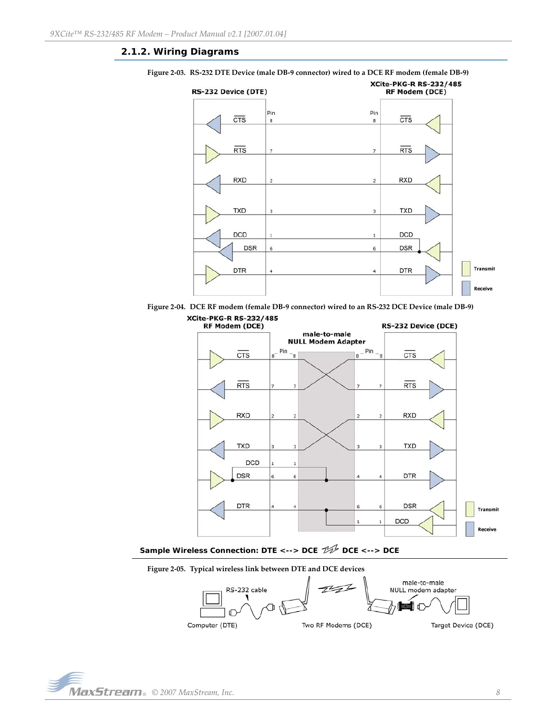## <span id="page-7-0"></span>**2.1.2. Wiring Diagrams**



Figure 2-03. RS-232 DTE Device (male DB-9 connector) wired to a DCE RF modem (female DB-9)





Sample Wireless Connection: DTE <--> DCE  $\mathcal{H}$  DCE <--> DCE





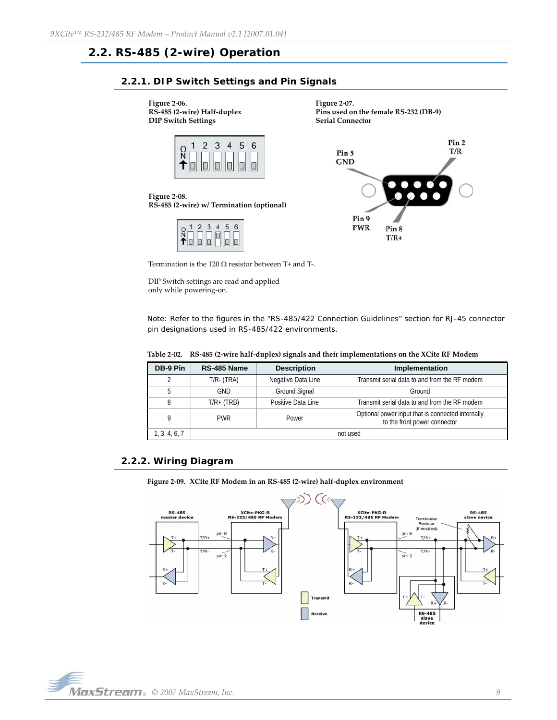# <span id="page-8-1"></span><span id="page-8-0"></span>**2.2. RS-485 (2-wire) Operation**

## **2.2.1. DIP Switch Settings and Pin Signals**

**Figure 2‐06. RS‐485 (2‐wire) Half‐duplex DIP Switch Settings**



**Serial Connector** Pin<sub>2</sub>  $T/R-$ Pin 5 **GND** 

**Pins used on the female RS‐232 (DB‐9)**

**Figure 2‐08. RS‐485 (2‐wire) w/ Termination (optional)**

|   |       |            |   |    | հ |
|---|-------|------------|---|----|---|
| ∸ | ni ir | k kelakul. | 1 | İΠ |   |



Termination is the 120  $\Omega$  resistor between T+ and T-.

DIP Switch settings are read and applied only while powering‐on.

Note: Refer to the figures in the "RS-485/422 Connection Guidelines" section for RJ-45 connector pin designations used in RS-485/422 environments.

**Figure 2‐07.**

|  | Table 2-02. RS-485 (2-wire half-duplex) signals and their implementations on the XCite RF Modem |  |  |  |
|--|-------------------------------------------------------------------------------------------------|--|--|--|
|--|-------------------------------------------------------------------------------------------------|--|--|--|

| DB-9 Pin      | RS-485 Name     | <b>Description</b><br>Implementation                                |                                                                                   |
|---------------|-----------------|---------------------------------------------------------------------|-----------------------------------------------------------------------------------|
| 2             | $T/R$ - $(TRA)$ | Negative Data Line                                                  | Transmit serial data to and from the RF modem                                     |
| 5             | GND             | Ground Signal                                                       | Ground                                                                            |
| 8             | $T/R + (TRB)$   | Transmit serial data to and from the RF modem<br>Positive Data Line |                                                                                   |
| 9             | <b>PWR</b>      | Power                                                               | Optional power input that is connected internally<br>to the front power connector |
| 1, 3, 4, 6, 7 |                 |                                                                     | not used                                                                          |

## <span id="page-8-2"></span>**2.2.2. Wiring Diagram**

**Figure 2‐09. XCite RF Modem in an RS‐485 (2‐wire) half‐duplex environment**



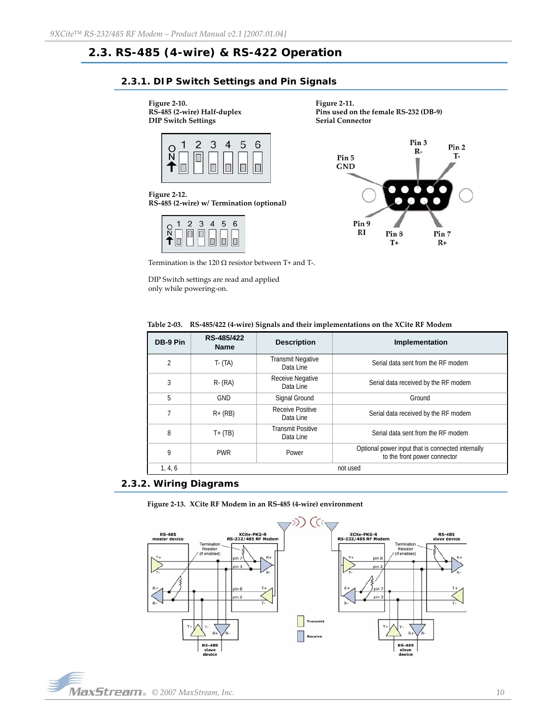# <span id="page-9-1"></span><span id="page-9-0"></span>**2.3. RS-485 (4-wire) & RS-422 Operation**

## **2.3.1. DIP Switch Settings and Pin Signals**

#### **Figure 2‐10.**

**RS‐485 (2‐wire) Half‐duplex DIP Switch Settings**



**Figure 2‐12. RS‐485 (2‐wire) w/ Termination (optional)**

| $\overline{Q}$                      | $\overline{2}$ | $\mathbf{3}$ | 4   | 5      | 6 |
|-------------------------------------|----------------|--------------|-----|--------|---|
| $\sqrt{\Box}$<br>$\hat{\mathbf{T}}$ | 0<br>THE.      |              | IПI | $\Box$ |   |





Termination is the 120  $\Omega$  resistor between T+ and T-.

DIP Switch settings are read and applied only while powering‐on.

|  |  | Table 2-03. RS-485/422 (4-wire) Signals and their implementations on the XCite RF Modem |
|--|--|-----------------------------------------------------------------------------------------|
|  |  |                                                                                         |

| DB-9 Pin | RS-485/422<br><b>Name</b> | <b>Description</b>                    | Implementation                                                                    |  |
|----------|---------------------------|---------------------------------------|-----------------------------------------------------------------------------------|--|
| 2        | $T - (TA)$                | <b>Transmit Negative</b><br>Data Line | Serial data sent from the RF modem                                                |  |
| 3        | $R - (RA)$                | Receive Negative<br>Data Line         | Serial data received by the RF modem                                              |  |
| 5        | <b>GND</b>                | Signal Ground                         | Ground                                                                            |  |
| 7        | $R + (RB)$                | Receive Positive<br>Data Line         | Serial data received by the RF modem                                              |  |
| 8        | $T+$ (TB)                 | <b>Transmit Positive</b><br>Data Line | Serial data sent from the RF modem                                                |  |
| 9        | <b>PWR</b>                | Power                                 | Optional power input that is connected internally<br>to the front power connector |  |
| 1, 4, 6  |                           |                                       | not used                                                                          |  |

## <span id="page-9-2"></span>**2.3.2. Wiring Diagrams**





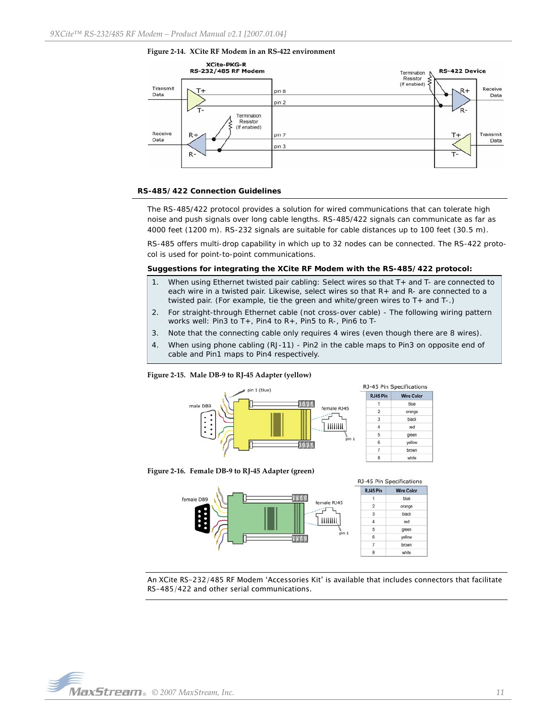



#### **RS-485/422 Connection Guidelines**

The RS-485/422 protocol provides a solution for wired communications that can tolerate high noise and push signals over long cable lengths. RS-485/422 signals can communicate as far as 4000 feet (1200 m). RS-232 signals are suitable for cable distances up to 100 feet (30.5 m).

RS-485 offers multi-drop capability in which up to 32 nodes can be connected. The RS-422 protocol is used for point-to-point communications.

#### **Suggestions for integrating the XCite RF Modem with the RS-485/422 protocol:**

- 1. When using Ethernet twisted pair cabling: Select wires so that T+ and T- are connected to each wire in a twisted pair. Likewise, select wires so that R+ and R- are connected to a twisted pair. (For example, tie the green and white/green wires to T+ and T-.)
- 2. For straight-through Ethernet cable (not cross-over cable) The following wiring pattern works well: Pin3 to T+, Pin4 to R+, Pin5 to R-, Pin6 to T-
- 3. Note that the connecting cable only requires 4 wires (even though there are 8 wires).
- 4. When using phone cabling (RJ-11) Pin2 in the cable maps to Pin3 on opposite end of cable and Pin1 maps to Pin4 respectively.

**Wire Color** 

blue

orange

black

red green yellow

brown

white

#### **Figure 2‐15. Male DB‐9 to RJ‐45 Adapter (yellow)**



**Figure 2‐16. Female DB‐9 to RJ‐45 Adapter (green)**



An XCite RS-232/485 RF Modem 'Accessories Kit' is available that includes connectors that facilitate RS-485/422 and other serial communications.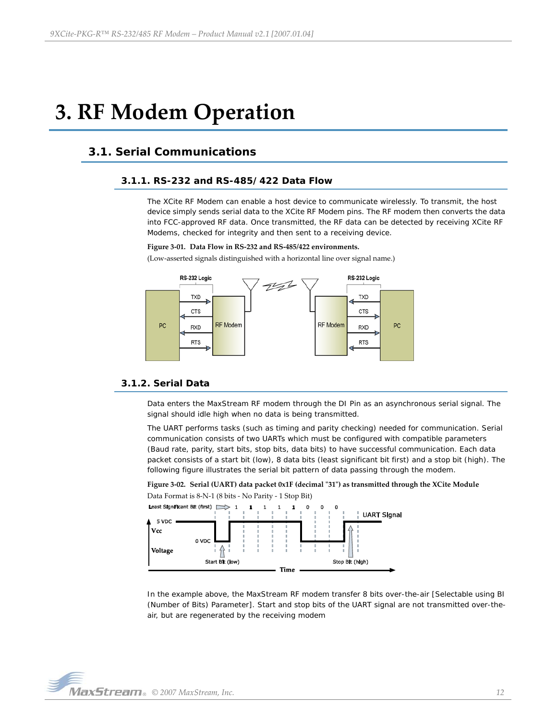# <span id="page-11-0"></span>**3. RF Modem Operation**

# <span id="page-11-2"></span><span id="page-11-1"></span>**3.1. Serial Communications**

## **3.1.1. RS-232 and RS-485/422 Data Flow**

The XCite RF Modem can enable a host device to communicate wirelessly. To transmit, the host device simply sends serial data to the XCite RF Modem pins. The RF modem then converts the data into FCC-approved RF data. Once transmitted, the RF data can be detected by receiving XCite RF Modems, checked for integrity and then sent to a receiving device.

#### **Figure 3‐01. Data Flow in RS‐232 and RS‐485/422 environments.**

(Low‐asserted signals distinguished with a horizontal line over signal name.)



## <span id="page-11-3"></span>**3.1.2. Serial Data**

Data enters the MaxStream RF modem through the DI Pin as an asynchronous serial signal. The signal should idle high when no data is being transmitted.

The UART performs tasks (such as timing and parity checking) needed for communication. Serial communication consists of two UARTs which must be configured with compatible parameters (Baud rate, parity, start bits, stop bits, data bits) to have successful communication. Each data packet consists of a start bit (low), 8 data bits (least significant bit first) and a stop bit (high). The following figure illustrates the serial bit pattern of data passing through the modem.





In the example above, the MaxStream RF modem transfer 8 bits over-the-air [Selectable using BI (Number of Bits) Parameter]. Start and stop bits of the UART signal are not transmitted over-theair, but are regenerated by the receiving modem

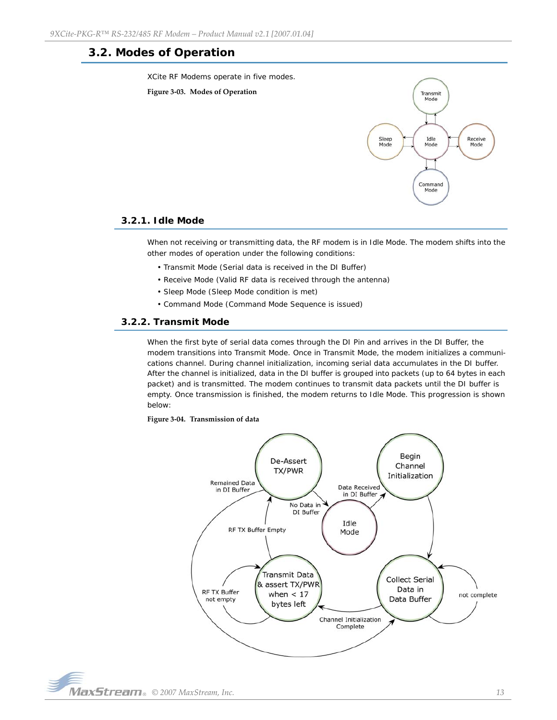## <span id="page-12-0"></span>**3.2. Modes of Operation**

XCite RF Modems operate in five modes.





## <span id="page-12-1"></span>**3.2.1. Idle Mode**

When not receiving or transmitting data, the RF modem is in Idle Mode. The modem shifts into the other modes of operation under the following conditions:

- Transmit Mode (Serial data is received in the DI Buffer)
- Receive Mode (Valid RF data is received through the antenna)
- Sleep Mode (Sleep Mode condition is met)
- Command Mode (Command Mode Sequence is issued)

## <span id="page-12-2"></span>**3.2.2. Transmit Mode**

When the first byte of serial data comes through the DI Pin and arrives in the DI Buffer, the modem transitions into Transmit Mode. Once in Transmit Mode, the modem initializes a communications channel. During channel initialization, incoming serial data accumulates in the DI buffer. After the channel is initialized, data in the DI buffer is grouped into packets (up to 64 bytes in each packet) and is transmitted. The modem continues to transmit data packets until the DI buffer is empty. Once transmission is finished, the modem returns to Idle Mode. This progression is shown below:

#### **Figure 3‐04. Transmission of data**



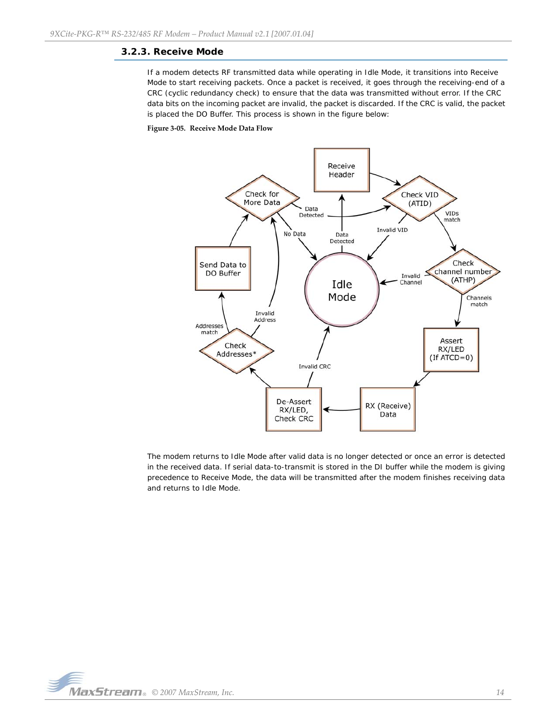## <span id="page-13-0"></span>**3.2.3. Receive Mode**

If a modem detects RF transmitted data while operating in Idle Mode, it transitions into Receive Mode to start receiving packets. Once a packet is received, it goes through the receiving-end of a CRC (cyclic redundancy check) to ensure that the data was transmitted without error. If the CRC data bits on the incoming packet are invalid, the packet is discarded. If the CRC is valid, the packet is placed the DO Buffer. This process is shown in the figure below:

## **Figure 3‐05. Receive Mode Data Flow**



The modem returns to Idle Mode after valid data is no longer detected or once an error is detected in the received data. If serial data-to-transmit is stored in the DI buffer while the modem is giving precedence to Receive Mode, the data will be transmitted after the modem finishes receiving data and returns to Idle Mode.

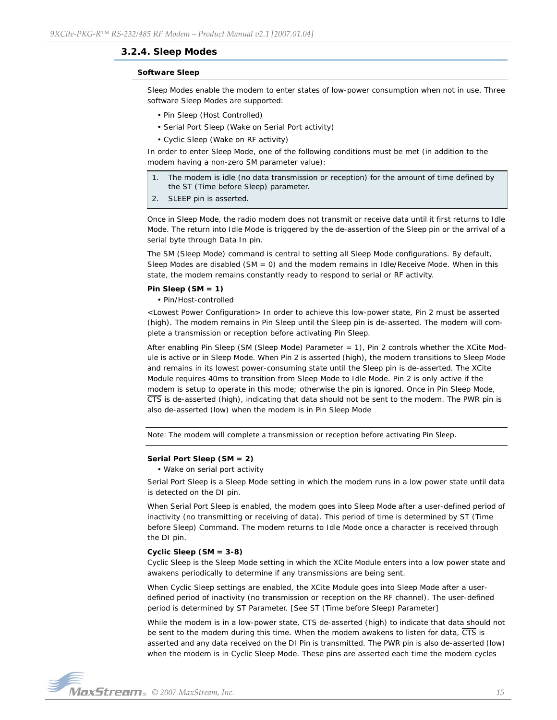### <span id="page-14-0"></span>**3.2.4. Sleep Modes**

#### **Software Sleep**

Sleep Modes enable the modem to enter states of low-power consumption when not in use. Three software Sleep Modes are supported:

- Pin Sleep (Host Controlled)
- Serial Port Sleep (Wake on Serial Port activity)
- Cyclic Sleep (Wake on RF activity)

In order to enter Sleep Mode, one of the following conditions must be met (in addition to the modem having a non-zero SM parameter value):

- 1. The modem is idle (no data transmission or reception) for the amount of time defined by the ST (Time before Sleep) parameter.
- 2. SLEEP pin is asserted.

Once in Sleep Mode, the radio modem does not transmit or receive data until it first returns to Idle Mode. The return into Idle Mode is triggered by the de-assertion of the Sleep pin or the arrival of a serial byte through Data In pin.

The SM (Sleep Mode) command is central to setting all Sleep Mode configurations. By default, Sleep Modes are disabled (SM = 0) and the modem remains in Idle/Receive Mode. When in this state, the modem remains constantly ready to respond to serial or RF activity.

#### **Pin Sleep (SM = 1)**

• Pin/Host-controlled

<Lowest Power Configuration> In order to achieve this low-power state, Pin 2 must be asserted (high). The modem remains in Pin Sleep until the Sleep pin is de-asserted. The modem will complete a transmission or reception before activating Pin Sleep.

After enabling Pin Sleep (SM (Sleep Mode) Parameter = 1), Pin 2 controls whether the XCite Module is active or in Sleep Mode. When Pin 2 is asserted (high), the modem transitions to Sleep Mode and remains in its lowest power-consuming state until the Sleep pin is de-asserted. The XCite Module requires 40ms to transition from Sleep Mode to Idle Mode. Pin 2 is only active if the modem is setup to operate in this mode; otherwise the pin is ignored. Once in Pin Sleep Mode,  $\overline{\text{CTS}}$  is de-asserted (high), indicating that data should not be sent to the modem. The PWR pin is also de-asserted (low) when the modem is in Pin Sleep Mode

Note: The modem will complete a transmission or reception before activating Pin Sleep.

#### **Serial Port Sleep (SM = 2)**

• Wake on serial port activity

Serial Port Sleep is a Sleep Mode setting in which the modem runs in a low power state until data is detected on the DI pin.

When Serial Port Sleep is enabled, the modem goes into Sleep Mode after a user-defined period of inactivity (no transmitting or receiving of data). This period of time is determined by ST (Time before Sleep) Command. The modem returns to Idle Mode once a character is received through the DI pin.

#### **Cyclic Sleep (SM = 3-8)**

Cyclic Sleep is the Sleep Mode setting in which the XCite Module enters into a low power state and awakens periodically to determine if any transmissions are being sent.

When Cyclic Sleep settings are enabled, the XCite Module goes into Sleep Mode after a userdefined period of inactivity (no transmission or reception on the RF channel). The user-defined period is determined by ST Parameter. [See ST (Time before Sleep) Parameter]

While the modem is in a low-power state,  $\overline{\text{CTS}}$  de-asserted (high) to indicate that data should not be sent to the modem during this time. When the modem awakens to listen for data, CTS is asserted and any data received on the DI Pin is transmitted. The PWR pin is also de-asserted (low) when the modem is in Cyclic Sleep Mode. These pins are asserted each time the modem cycles

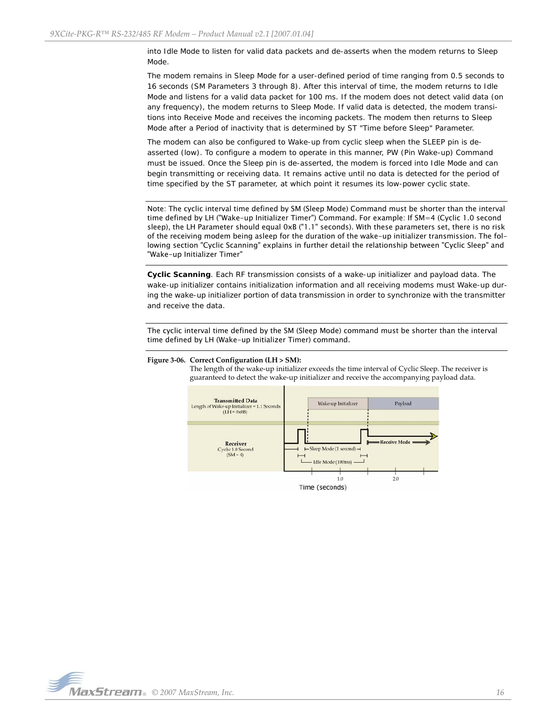into Idle Mode to listen for valid data packets and de-asserts when the modem returns to Sleep Mode.

The modem remains in Sleep Mode for a user-defined period of time ranging from 0.5 seconds to 16 seconds (SM Parameters 3 through 8). After this interval of time, the modem returns to Idle Mode and listens for a valid data packet for 100 ms. If the modem does not detect valid data (on any frequency), the modem returns to Sleep Mode. If valid data is detected, the modem transitions into Receive Mode and receives the incoming packets. The modem then returns to Sleep Mode after a Period of inactivity that is determined by ST "Time before Sleep" Parameter.

The modem can also be configured to Wake-up from cyclic sleep when the SLEEP pin is deasserted (low). To configure a modem to operate in this manner, PW (Pin Wake-up) Command must be issued. Once the Sleep pin is de-asserted, the modem is forced into Idle Mode and can begin transmitting or receiving data. It remains active until no data is detected for the period of time specified by the ST parameter, at which point it resumes its low-power cyclic state.

Note: The cyclic interval time defined by SM (Sleep Mode) Command must be shorter than the interval time defined by LH ("Wake-up Initializer Timer") Command. For example: If SM=4 (Cyclic 1.0 second sleep), the LH Parameter should equal 0xB ("1.1" seconds). With these parameters set, there is no risk of the receiving modem being asleep for the duration of the wake-up initializer transmission. The following section "Cyclic Scanning" explains in further detail the relationship between "Cyclic Sleep" and "Wake-up Initializer Timer"

**Cyclic Scanning**. Each RF transmission consists of a wake-up initializer and payload data. The wake-up initializer contains initialization information and all receiving modems must Wake-up during the wake-up initializer portion of data transmission in order to synchronize with the transmitter and receive the data.

The cyclic interval time defined by the SM (Sleep Mode) command must be shorter than the interval time defined by LH (Wake-up Initializer Timer) command.



#### **Figure 3‐06. Correct Configuration (LH > SM):**

The length of the wake-up initializer exceeds the time interval of Cyclic Sleep. The receiver is guaranteed to detect the wake‐up initializer and receive the accompanying payload data.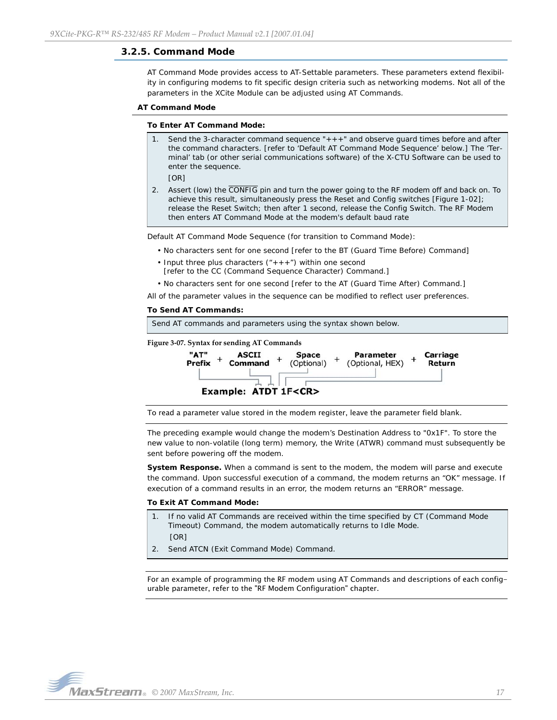## <span id="page-16-0"></span>**3.2.5. Command Mode**

AT Command Mode provides access to AT-Settable parameters. These parameters extend flexibility in configuring modems to fit specific design criteria such as networking modems. Not all of the parameters in the XCite Module can be adjusted using AT Commands.

#### **AT Command Mode**

#### **To Enter AT Command Mode:**

Send the 3-character command sequence " $+++$ " and observe guard times before and after the command characters. [refer to 'Default AT Command Mode Sequence' below.] The 'Terminal' tab (or other serial communications software) of the X-CTU Software can be used to enter the sequence.

[OR]

2. Assert (low) the CONFIG pin and turn the power going to the RF modem off and back on. To achieve this result, simultaneously press the Reset and Config switches [Figure 1-02]; release the Reset Switch; then after 1 second, release the Config Switch. The RF Modem then enters AT Command Mode at the modem's default baud rate

Default AT Command Mode Sequence (for transition to Command Mode):

- No characters sent for one second [refer to the BT (Guard Time Before) Command]
- Input three plus characters  $(*++*)$  within one second
- [refer to the CC (Command Sequence Character) Command.]

• No characters sent for one second [refer to the AT (Guard Time After) Command.]

All of the parameter values in the sequence can be modified to reflect user preferences.

#### **To Send AT Commands:**



To read a parameter value stored in the modem register, leave the parameter field blank.

The preceding example would change the modem's Destination Address to "0x1F". To store the new value to non-volatile (long term) memory, the Write (ATWR) command must subsequently be sent before powering off the modem.

**System Response.** When a command is sent to the modem, the modem will parse and execute the command. Upon successful execution of a command, the modem returns an "OK" message. If execution of a command results in an error, the modem returns an "ERROR" message.

### **To Exit AT Command Mode:**

- 1. If no valid AT Commands are received within the time specified by CT (Command Mode Timeout) Command, the modem automatically returns to Idle Mode. [OR]
- 2. Send ATCN (Exit Command Mode) Command.

For an example of programming the RF modem using AT Commands and descriptions of each configurable parameter, refer to the "RF Modem Configuration" chapter.

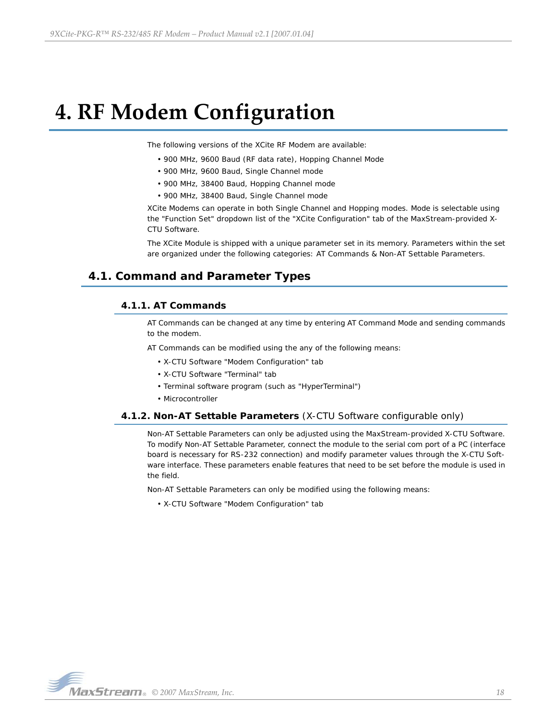# <span id="page-17-0"></span>**4. RF Modem Configuration**

The following versions of the XCite RF Modem are available:

- 900 MHz, 9600 Baud (RF data rate), Hopping Channel Mode
- 900 MHz, 9600 Baud, Single Channel mode
- 900 MHz, 38400 Baud, Hopping Channel mode
- 900 MHz, 38400 Baud, Single Channel mode

XCite Modems can operate in both Single Channel and Hopping modes. Mode is selectable using the "Function Set" dropdown list of the "XCite Configuration" tab of the MaxStream-provided X-CTU Software.

The XCite Module is shipped with a unique parameter set in its memory. Parameters within the set are organized under the following categories: AT Commands & Non-AT Settable Parameters.

## <span id="page-17-2"></span><span id="page-17-1"></span>**4.1. Command and Parameter Types**

## **4.1.1. AT Commands**

AT Commands can be changed at any time by entering AT Command Mode and sending commands to the modem.

AT Commands can be modified using the any of the following means:

- X-CTU Software "Modem Configuration" tab
- X-CTU Software "Terminal" tab
- Terminal software program (such as "HyperTerminal")
- Microcontroller

## <span id="page-17-3"></span>**4.1.2. Non-AT Settable Parameters** (X-CTU Software configurable only)

Non-AT Settable Parameters can only be adjusted using the MaxStream-provided X-CTU Software. To modify Non-AT Settable Parameter, connect the module to the serial com port of a PC (interface board is necessary for RS-232 connection) and modify parameter values through the X-CTU Software interface. These parameters enable features that need to be set before the module is used in the field.

Non-AT Settable Parameters can only be modified using the following means:

• X-CTU Software "Modem Configuration" tab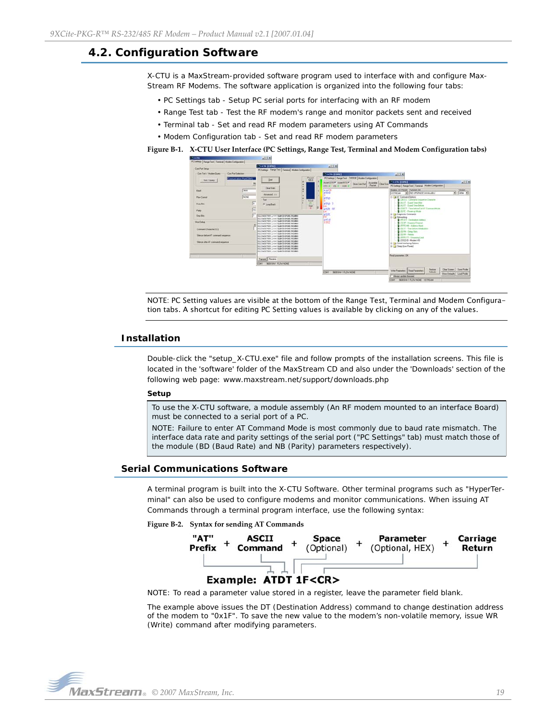# <span id="page-18-0"></span>**4.2. Configuration Software**

X-CTU is a MaxStream-provided software program used to interface with and configure Max-Stream RF Modems. The software application is organized into the following four tabs:

- PC Settings tab Setup PC serial ports for interfacing with an RF modem
- Range Test tab Test the RF modem's range and monitor packets sent and received
- Terminal tab Set and read RF modem parameters using AT Commands
- Modem Configuration tab Set and read RF modem parameters

**Figure B‐1. X‐CTU User Interface (PC Settings, Range Test, Terminal and Modem Configuration tabs)**



NOTE: PC Setting values are visible at the bottom of the Range Test, Terminal and Modem Configuration tabs. A shortcut for editing PC Setting values is available by clicking on any of the values.

## <span id="page-18-1"></span>**Installation**

Double-click the "setup\_X-CTU.exe" file and follow prompts of the installation screens. This file is located in the 'software' folder of the MaxStream CD and also under the 'Downloads' section of the following web page: www.maxstream.net/support/downloads.php

#### **Setup**

To use the X-CTU software, a module assembly (An RF modem mounted to an interface Board) must be connected to a serial port of a PC.

NOTE: Failure to enter AT Command Mode is most commonly due to baud rate mismatch. The interface data rate and parity settings of the serial port ("PC Settings" tab) must match those of the module (BD (Baud Rate) and NB (Parity) parameters respectively).

## <span id="page-18-2"></span>**Serial Communications Software**

A terminal program is built into the X-CTU Software. Other terminal programs such as "HyperTerminal" can also be used to configure modems and monitor communications. When issuing AT Commands through a terminal program interface, use the following syntax:

**Figure B‐2. Syntax for sending AT Commands**



NOTE: To read a parameter value stored in a register, leave the parameter field blank.

The example above issues the DT (Destination Address) command to change destination address of the modem to "0x1F". To save the new value to the modem's non-volatile memory, issue WR (Write) command after modifying parameters.

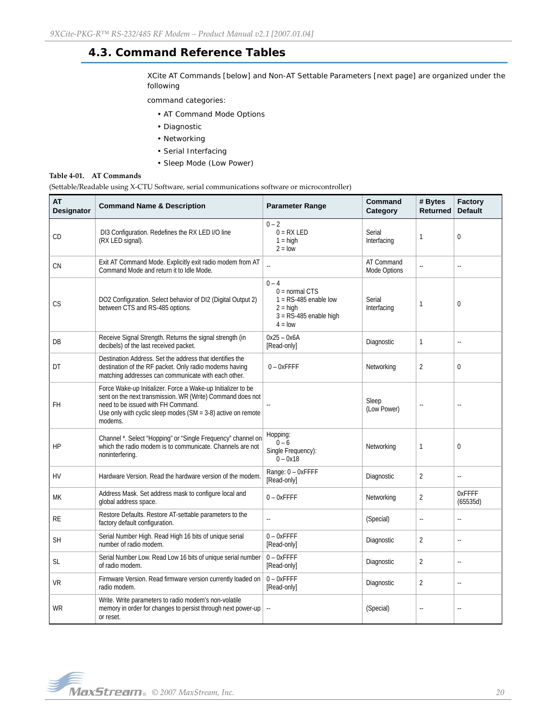# <span id="page-19-0"></span>**4.3. Command Reference Tables**

XCite AT Commands [below] and Non-AT Settable Parameters [next page] are organized under the following

command categories:

- AT Command Mode Options
- Diagnostic
- Networking
- Serial Interfacing
- Sleep Mode (Low Power)

#### **Table 4‐01. AT Commands**

(Settable/Readable using X‐CTU Software, serial communications software or microcontroller)

| <b>AT</b><br><b>Designator</b> | <b>Command Name &amp; Description</b>                                                                                                                                                                                                           | <b>Parameter Range</b>                                                                                        | Command<br>Category        | # Bytes<br><b>Returned</b> | Factory<br><b>Default</b> |
|--------------------------------|-------------------------------------------------------------------------------------------------------------------------------------------------------------------------------------------------------------------------------------------------|---------------------------------------------------------------------------------------------------------------|----------------------------|----------------------------|---------------------------|
| CD                             | DI3 Configuration. Redefines the RX LED I/O line<br>(RX LED signal).                                                                                                                                                                            | $0 - 2$<br>$0 = RX LED$<br>$1 = high$<br>$2 =$ low                                                            | Serial<br>Interfacing      | 1                          | $\overline{0}$            |
| CN                             | Exit AT Command Mode. Explicitly exit radio modem from AT<br>Command Mode and return it to Idle Mode.                                                                                                                                           | L.                                                                                                            | AT Command<br>Mode Options | ă.                         | ă.                        |
| СS                             | DO2 Configuration. Select behavior of DI2 (Digital Output 2)<br>between CTS and RS-485 options.                                                                                                                                                 | $0 - 4$<br>$0 = normal CTS$<br>$1 = RS-485$ enable low<br>$2 =$ high<br>$3 = RS-485$ enable high<br>$4 = 10W$ | Serial<br>Interfacing      | 1                          | $\mathbf 0$               |
| DB                             | Receive Signal Strength. Returns the signal strength (in<br>decibels) of the last received packet.                                                                                                                                              | $0x25 - 0x6A$<br>[Read-only]                                                                                  | Diagnostic                 | $\mathbf{1}$               | u.                        |
| DT                             | Destination Address. Set the address that identifies the<br>destination of the RF packet. Only radio modems having<br>matching addresses can communicate with each other.                                                                       | $0 - 0x$ FFFF                                                                                                 | Networking                 | 2                          | $\Omega$                  |
| FH                             | Force Wake-up Initializer. Force a Wake-up Initializer to be<br>sent on the next transmission. WR (Write) Command does not<br>need to be issued with FH Command.<br>Use only with cyclic sleep modes ( $SM = 3-8$ ) active on remote<br>modems. |                                                                                                               | Sleep<br>(Low Power)       | ä.                         | u.                        |
| HP                             | Channel *. Select "Hopping" or "Single Frequency" channel on<br>which the radio modem is to communicate. Channels are not<br>noninterfering.                                                                                                    | Hopping:<br>$0 - 6$<br>Single Frequency):<br>$0 - 0x18$                                                       | Networking                 | 1                          | $\mathbf{0}$              |
| <b>HV</b>                      | Hardware Version. Read the hardware version of the modem.                                                                                                                                                                                       | Range: 0 - OxFFFF<br>[Read-only]                                                                              | Diagnostic                 | $\overline{2}$             | ω.                        |
| МK                             | Address Mask. Set address mask to configure local and<br>global address space.                                                                                                                                                                  | $0 - 0x$ FFFF                                                                                                 | Networking                 | $\overline{2}$             | OxFFFF<br>(65535d)        |
| RE                             | Restore Defaults. Restore AT-settable parameters to the<br>factory default configuration.                                                                                                                                                       | ă.                                                                                                            | (Special)                  | ÷.                         | u.                        |
| <b>SH</b>                      | Serial Number High. Read High 16 bits of unique serial<br>number of radio modem.                                                                                                                                                                | $0 - 0x$ FFFF<br>[Read-only]                                                                                  | Diagnostic                 | $\overline{2}$             | $\Box$                    |
| SL                             | Serial Number Low. Read Low 16 bits of unique serial number<br>of radio modem.                                                                                                                                                                  | $0 - 0x$ FFFF<br>[Read-only]                                                                                  | Diagnostic                 | $\overline{2}$             | ÷,                        |
| VR                             | Firmware Version. Read firmware version currently loaded on<br>radio modem.                                                                                                                                                                     | $0 - 0x$ FFFF<br>[Read-only]                                                                                  | Diagnostic                 | $\overline{2}$             | ä.                        |
| WR                             | Write. Write parameters to radio modem's non-volatile<br>memory in order for changes to persist through next power-up<br>or reset.                                                                                                              | Ξ.                                                                                                            | (Special)                  | $\ddot{\phantom{a}}$       | $\ddot{\phantom{a}}$      |

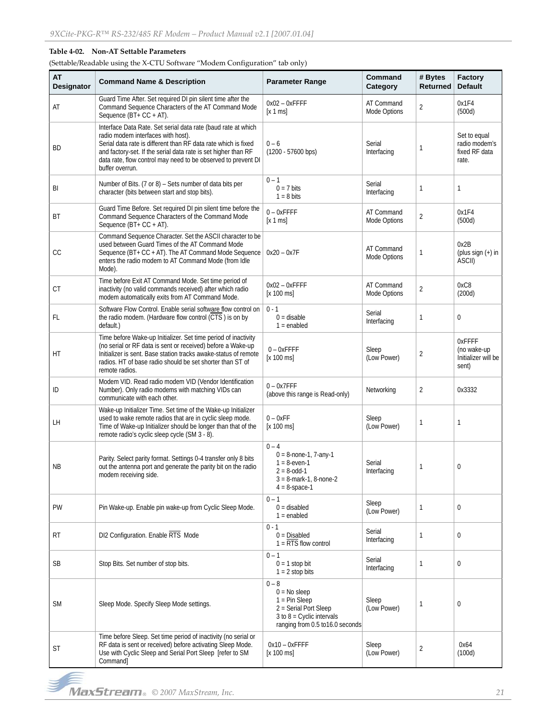## **Table 4‐02. Non‐AT Settable Parameters**

(Settable/Readable using the X‐CTU Software "Modem Configuration" tab only)

| <b>AT</b><br>Designator | <b>Command Name &amp; Description</b>                                                                                                                                                                                                                                                                                       | <b>Parameter Range</b>                                                                                                                   | Command<br>Category        | # Bytes<br><b>Returned</b> | Factory<br><b>Default</b>                               |
|-------------------------|-----------------------------------------------------------------------------------------------------------------------------------------------------------------------------------------------------------------------------------------------------------------------------------------------------------------------------|------------------------------------------------------------------------------------------------------------------------------------------|----------------------------|----------------------------|---------------------------------------------------------|
| AT                      | Guard Time After. Set required DI pin silent time after the<br>Command Sequence Characters of the AT Command Mode<br>Sequence (BT+ CC + AT).                                                                                                                                                                                | $0x02 - 0x$ FFFF<br>[x 1 ms]                                                                                                             | AT Command<br>Mode Options | $\overline{2}$             | 0x1F4<br>(500d)                                         |
| <b>BD</b>               | Interface Data Rate. Set serial data rate (baud rate at which<br>radio modem interfaces with host).<br>Serial data rate is different than RF data rate which is fixed<br>and factory-set. If the serial data rate is set higher than RF<br>data rate, flow control may need to be observed to prevent DI<br>buffer overrun. | $0 - 6$<br>$(1200 - 57600$ bps)                                                                                                          | Serial<br>Interfacing      | 1                          | Set to equal<br>radio modem's<br>fixed RF data<br>rate. |
| BI                      | Number of Bits. (7 or 8) - Sets number of data bits per<br>character (bits between start and stop bits).                                                                                                                                                                                                                    | $0 - 1$<br>$0 = 7$ bits<br>$1 = 8$ bits                                                                                                  | Serial<br>Interfacing      | 1                          | 1                                                       |
| <b>BT</b>               | Guard Time Before. Set required DI pin silent time before the<br>Command Sequence Characters of the Command Mode<br>Sequence ( $BT + CC + AT$ ).                                                                                                                                                                            | $0 - 0x$ FFFF<br>[x 1 ms]                                                                                                                | AT Command<br>Mode Options | $\overline{2}$             | 0x1F4<br>(500d)                                         |
| CC                      | Command Sequence Character. Set the ASCII character to be<br>used between Guard Times of the AT Command Mode<br>Sequence (BT+ CC + AT). The AT Command Mode Sequence<br>enters the radio modem to AT Command Mode (from Idle<br>Mode).                                                                                      | $0x20 - 0x7F$                                                                                                                            | AT Command<br>Mode Options | 1                          | 0x2B<br>(plus sign $(+)$ in<br>ASCII)                   |
| <b>CT</b>               | Time before Exit AT Command Mode. Set time period of<br>inactivity (no valid commands received) after which radio<br>modem automatically exits from AT Command Mode.                                                                                                                                                        | $0x02 - 0x$ FFFF<br>[x 100 ms]                                                                                                           | AT Command<br>Mode Options | $\overline{2}$             | 0xC8<br>(200d)                                          |
| <b>FL</b>               | Software Flow Control. Enable serial software flow control on<br>the radio modem. (Hardware flow control (CTS) is on by<br>default.)                                                                                                                                                                                        | $0 - 1$<br>$0 =$ disable<br>$1 =$ enabled                                                                                                | Serial<br>Interfacing      | 1                          | 0                                                       |
| НT                      | Time before Wake-up Initializer. Set time period of inactivity<br>(no serial or RF data is sent or received) before a Wake-up<br>Initializer is sent. Base station tracks awake-status of remote<br>radios. HT of base radio should be set shorter than ST of<br>remote radios.                                             | $0 - 0x$ FFFF<br>[x 100 ms]                                                                                                              | Sleep<br>(Low Power)       | $\overline{2}$             | OxFFFF<br>(no wake-up<br>Initializer will be<br>sent)   |
| ID                      | Modem VID. Read radio modem VID (Vendor Identification<br>Number). Only radio modems with matching VIDs can<br>communicate with each other.                                                                                                                                                                                 | $0 - 0x7$ FFF<br>(above this range is Read-only)                                                                                         | Networking                 | $\overline{2}$             | 0x3332                                                  |
| LH                      | Wake-up Initializer Time. Set time of the Wake-up Initializer<br>used to wake remote radios that are in cyclic sleep mode.<br>Time of Wake-up Initializer should be longer than that of the<br>remote radio's cyclic sleep cycle (SM 3 - 8).                                                                                | $0 - 0xFF$<br>[x 100 ms]                                                                                                                 | Sleep<br>(Low Power)       | 1                          | 1                                                       |
| <b>NB</b>               | Parity. Select parity format. Settings 0-4 transfer only 8 bits<br>out the antenna port and generate the parity bit on the radio<br>modem receiving side.                                                                                                                                                                   | $0 - 4$<br>$0 = 8$ -none-1, 7-any-1<br>$1 = 8$ -even-1<br>$2 = 8 - 0$ dd-1<br>$3 = 8$ -mark-1, 8-none-2<br>$4 = 8$ -space-1              | Serial<br>Interfacing      | 1                          | 0                                                       |
| PW                      | Pin Wake-up. Enable pin wake-up from Cyclic Sleep Mode.                                                                                                                                                                                                                                                                     | $0 - 1$<br>$0 =$ disabled<br>$1 =$ enabled                                                                                               | Sleep<br>(Low Power)       | 1                          | $\mathbf 0$                                             |
| RT                      | DI2 Configuration. Enable RTS Mode                                                                                                                                                                                                                                                                                          | $0 - 1$<br>$0 = Disabled$<br>$1 = \overline{RTS}$ flow control                                                                           | Serial<br>Interfacing      | 1                          | $\mathbf{0}$                                            |
| SB                      | Stop Bits. Set number of stop bits.                                                                                                                                                                                                                                                                                         | $0 - 1$<br>$0 = 1$ stop bit<br>$1 = 2$ stop bits                                                                                         | Serial<br>Interfacing      | 1                          | $\mathbf 0$                                             |
| <b>SM</b>               | Sleep Mode. Specify Sleep Mode settings.                                                                                                                                                                                                                                                                                    | $0 - 8$<br>$0 = No$ sleep<br>$1 = Pin Sleep$<br>2 = Serial Port Sleep<br>3 to $8$ = Cyclic intervals<br>ranging from 0.5 to 16.0 seconds | Sleep<br>(Low Power)       | 1                          | 0                                                       |
| ST                      | Time before Sleep. Set time period of inactivity (no serial or<br>RF data is sent or received) before activating Sleep Mode.<br>Use with Cyclic Sleep and Serial Port Sleep [refer to SM<br>Command]                                                                                                                        | $0x10 - 0x$ FFFF<br>[x 100 ms]                                                                                                           | Sleep<br>(Low Power)       | $\overline{2}$             | 0x64<br>(100d)                                          |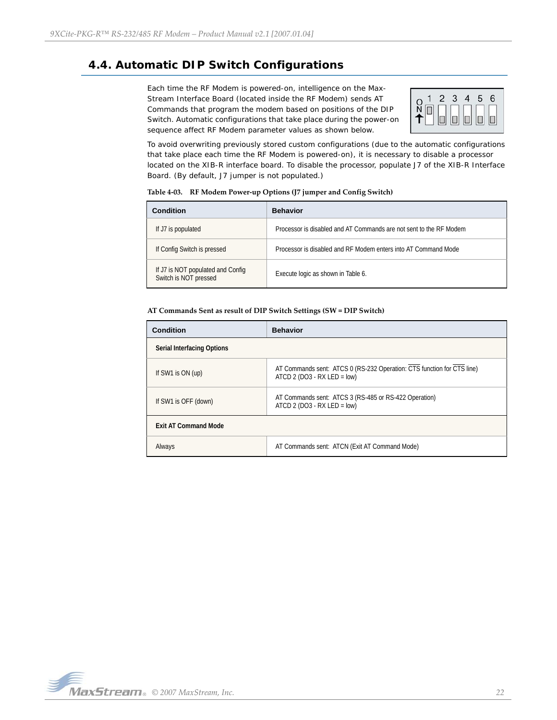# <span id="page-21-0"></span>**4.4. Automatic DIP Switch Configurations**

Each time the RF Modem is powered-on, intelligence on the Max-Stream Interface Board (located inside the RF Modem) sends AT Commands that program the modem based on positions of the DIP Switch. Automatic configurations that take place during the power-on sequence affect RF Modem parameter values as shown below.



To avoid overwriting previously stored custom configurations (due to the automatic configurations that take place each time the RF Modem is powered-on), it is necessary to disable a processor located on the XIB-R interface board. To disable the processor, populate J7 of the XIB-R Interface Board. (By default, J7 jumper is not populated.)

| Condition                                                  | <b>Behavior</b>                                                    |
|------------------------------------------------------------|--------------------------------------------------------------------|
| If J7 is populated                                         | Processor is disabled and AT Commands are not sent to the RF Modem |
| If Config Switch is pressed                                | Processor is disabled and RF Modem enters into AT Command Mode     |
| If J7 is NOT populated and Config<br>Switch is NOT pressed | Execute logic as shown in Table 6.                                 |

**Table 4‐03. RF Modem Power‐up Options (J7 jumper and Config Switch)**

#### **AT Commands Sent as result of DIP Switch Settings (SW = DIP Switch)**

| <b>Condition</b>            | <b>Behavior</b>                                                                                          |
|-----------------------------|----------------------------------------------------------------------------------------------------------|
| Serial Interfacing Options  |                                                                                                          |
| If SW1 is ON (up)           | AT Commands sent: ATCS 0 (RS-232 Operation: CTS function for CTS line)<br>ATCD 2 (DO3 - RX LED = $low$ ) |
| If SW1 is OFF (down)        | AT Commands sent: ATCS 3 (RS-485 or RS-422 Operation)<br>ATCD 2 (DO3 - RX LED = $low$ )                  |
| <b>Exit AT Command Mode</b> |                                                                                                          |
| Always                      | AT Commands sent: ATCN (Exit AT Command Mode)                                                            |

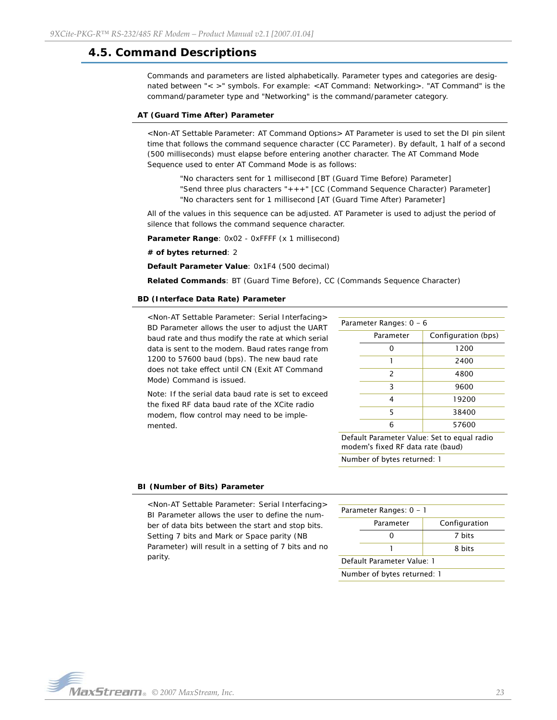## <span id="page-22-0"></span>**4.5. Command Descriptions**

Commands and parameters are listed alphabetically. Parameter types and categories are designated between "< >" symbols. For example: <AT Command: Networking>. "AT Command" is the command/parameter type and "Networking" is the command/parameter category.

### **AT (Guard Time After) Parameter**

<Non-AT Settable Parameter: AT Command Options> AT Parameter is used to set the DI pin silent time that follows the command sequence character (CC Parameter). By default, 1 half of a second (500 milliseconds) must elapse before entering another character. The AT Command Mode Sequence used to enter AT Command Mode is as follows:

"No characters sent for 1 millisecond [BT (Guard Time Before) Parameter] "Send three plus characters "+++" [CC (Command Sequence Character) Parameter] "No characters sent for 1 millisecond [AT (Guard Time After) Parameter]

All of the values in this sequence can be adjusted. AT Parameter is used to adjust the period of silence that follows the command sequence character.

Parameter Range: 0x02 - 0xFFFF (x 1 millisecond)

#### **# of bytes returned**: 2

**Default Parameter Value**: 0x1F4 (500 decimal)

**Related Commands**: BT (Guard Time Before), CC (Commands Sequence Character)

#### **BD (Interface Data Rate) Parameter**

<Non-AT Settable Parameter: Serial Interfacing> BD Parameter allows the user to adjust the UART baud rate and thus modify the rate at which serial data is sent to the modem. Baud rates range from 1200 to 57600 baud (bps). The new baud rate does not take effect until CN (Exit AT Command Mode) Command is issued.

Note: If the serial data baud rate is set to exceed the fixed RF data baud rate of the XCite radio modem, flow control may need to be implemented.

| Parameter Ranges: 0 - 6  |                     |  |  |  |
|--------------------------|---------------------|--|--|--|
| Parameter                | Configuration (bps) |  |  |  |
| ი                        | 1200                |  |  |  |
| 1                        | 2400                |  |  |  |
| $\overline{\phantom{0}}$ | 4800                |  |  |  |
| 3                        | 9600                |  |  |  |
| 4                        | 19200               |  |  |  |
| 5                        | 38400               |  |  |  |
| 6                        | 57600               |  |  |  |

Default Parameter Value: Set to equal radio modem's fixed RF data rate (baud)

Number of bytes returned: 1

#### **BI (Number of Bits) Parameter**

<Non-AT Settable Parameter: Serial Interfacing> BI Parameter allows the user to define the number of data bits between the start and stop bits. Setting 7 bits and Mark or Space parity (NB Parameter) will result in a setting of 7 bits and no parity.

| Parameter Ranges: 0 - 1     |           |               |  |  |
|-----------------------------|-----------|---------------|--|--|
|                             | Parameter | Configuration |  |  |
|                             |           | 7 hits        |  |  |
|                             |           | 8 hits        |  |  |
| Default Parameter Value: 1  |           |               |  |  |
| Number of bytes returned: 1 |           |               |  |  |

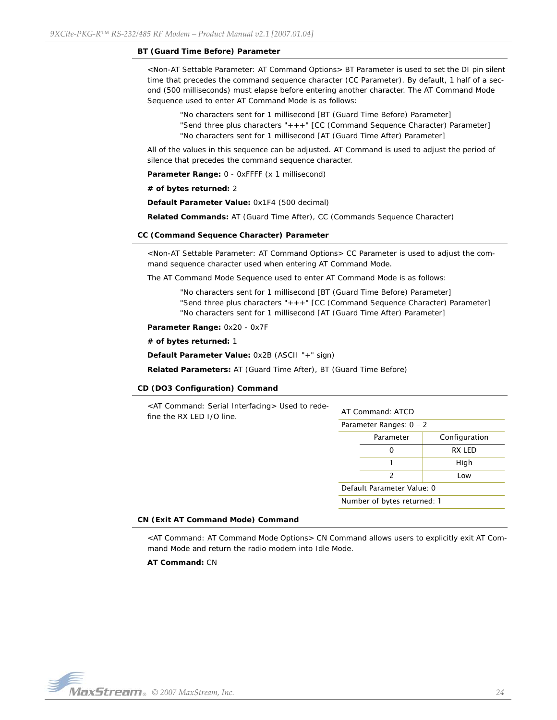#### **BT (Guard Time Before) Parameter**

<Non-AT Settable Parameter: AT Command Options> BT Parameter is used to set the DI pin silent time that precedes the command sequence character (CC Parameter). By default, 1 half of a second (500 milliseconds) must elapse before entering another character. The AT Command Mode Sequence used to enter AT Command Mode is as follows:

"No characters sent for 1 millisecond [BT (Guard Time Before) Parameter] "Send three plus characters "+++" [CC (Command Sequence Character) Parameter] "No characters sent for 1 millisecond [AT (Guard Time After) Parameter]

All of the values in this sequence can be adjusted. AT Command is used to adjust the period of silence that precedes the command sequence character.

**Parameter Range:** 0 - 0xFFFF (x 1 millisecond)

#### **# of bytes returned:** 2

**Default Parameter Value:** 0x1F4 (500 decimal)

**Related Commands:** AT (Guard Time After), CC (Commands Sequence Character)

#### **CC (Command Sequence Character) Parameter**

<Non-AT Settable Parameter: AT Command Options> CC Parameter is used to adjust the command sequence character used when entering AT Command Mode.

The AT Command Mode Sequence used to enter AT Command Mode is as follows:

"No characters sent for 1 millisecond [BT (Guard Time Before) Parameter] "Send three plus characters "+++" [CC (Command Sequence Character) Parameter] "No characters sent for 1 millisecond [AT (Guard Time After) Parameter]

**Parameter Range:** 0x20 - 0x7F

## **# of bytes returned:** 1

**Default Parameter Value:** 0x2B (ASCII "+" sign)

**Related Parameters:** AT (Guard Time After), BT (Guard Time Before)

#### **CD (DO3 Configuration) Command**

| <at command:="" interfacing="" serial=""> Used to rede-<br/>fine the RX LED I/O line.</at> | AT Command: ATCD           |                             |               |
|--------------------------------------------------------------------------------------------|----------------------------|-----------------------------|---------------|
|                                                                                            | Parameter Ranges: $0 - 2$  |                             |               |
|                                                                                            |                            | Parameter                   | Configuration |
|                                                                                            |                            | 0                           | RX LED        |
|                                                                                            |                            |                             | High          |
|                                                                                            |                            | $\mathcal{P}$               | Low           |
|                                                                                            | Default Parameter Value: 0 |                             |               |
|                                                                                            |                            | Number of bytes returned: 1 |               |
|                                                                                            |                            |                             |               |

#### **CN (Exit AT Command Mode) Command**

<AT Command: AT Command Mode Options> CN Command allows users to explicitly exit AT Command Mode and return the radio modem into Idle Mode.

**AT Command:** CN

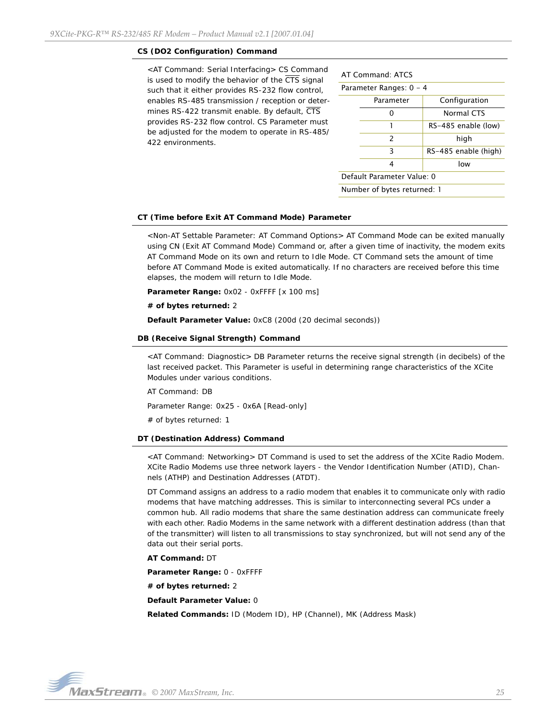#### **CS (DO2 Configuration) Command**

<AT Command: Serial Interfacing> CS Command is used to modify the behavior of the  $\overline{\text{CTS}}$  signal such that it either provides RS-232 flow control, enables RS-485 transmission / reception or determines RS-422 transmit enable. By default, CTS provides RS-232 flow control. CS Parameter must be adjusted for the modem to operate in RS-485/ 422 environments.

| AT Command: ATCS            |                      |  |  |  |
|-----------------------------|----------------------|--|--|--|
| Parameter Ranges: 0 - 4     |                      |  |  |  |
| Parameter                   | Configuration        |  |  |  |
|                             | <b>Normal CTS</b>    |  |  |  |
| 1                           | RS-485 enable (low)  |  |  |  |
| $\mathcal{P}$               | high                 |  |  |  |
| 3                           | RS-485 enable (high) |  |  |  |
| low<br>4                    |                      |  |  |  |
| Default Parameter Value: 0  |                      |  |  |  |
| Number of bytes returned: 1 |                      |  |  |  |

#### **CT (Time before Exit AT Command Mode) Parameter**

<Non-AT Settable Parameter: AT Command Options> AT Command Mode can be exited manually using CN (Exit AT Command Mode) Command or, after a given time of inactivity, the modem exits AT Command Mode on its own and return to Idle Mode. CT Command sets the amount of time before AT Command Mode is exited automatically. If no characters are received before this time elapses, the modem will return to Idle Mode.

**Parameter Range:** 0x02 - 0xFFFF [x 100 ms]

**# of bytes returned:** 2

**Default Parameter Value:** 0xC8 (200d (20 decimal seconds))

#### **DB (Receive Signal Strength) Command**

<AT Command: Diagnostic> DB Parameter returns the receive signal strength (in decibels) of the last received packet. This Parameter is useful in determining range characteristics of the XCite Modules under various conditions.

AT Command: DB

Parameter Range: 0x25 - 0x6A [Read-only]

# of bytes returned: 1

## **DT (Destination Address) Command**

<AT Command: Networking> DT Command is used to set the address of the XCite Radio Modem. XCite Radio Modems use three network layers - the Vendor Identification Number (ATID), Channels (ATHP) and Destination Addresses (ATDT).

DT Command assigns an address to a radio modem that enables it to communicate only with radio modems that have matching addresses. This is similar to interconnecting several PCs under a common hub. All radio modems that share the same destination address can communicate freely with each other. Radio Modems in the same network with a different destination address (than that of the transmitter) will listen to all transmissions to stay synchronized, but will not send any of the data out their serial ports.

#### **AT Command:** DT

**Parameter Range:** 0 - 0xFFFF

**# of bytes returned:** 2

**Default Parameter Value:** 0

**Related Commands:** ID (Modem ID), HP (Channel), MK (Address Mask)

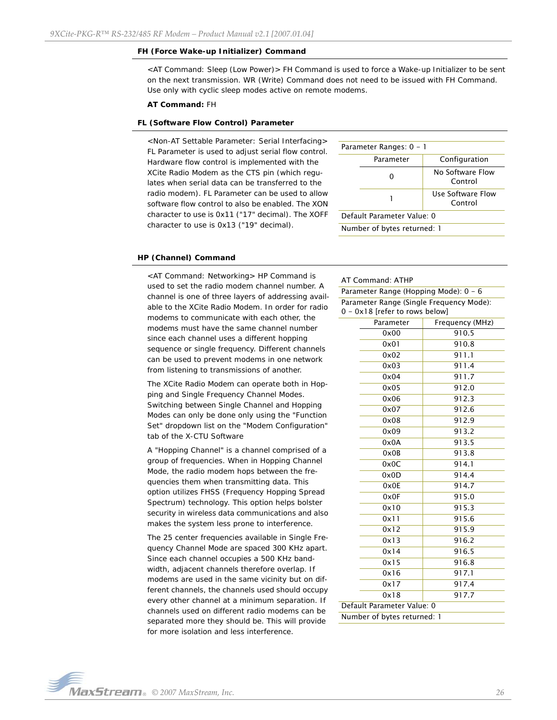#### **FH (Force Wake-up Initializer) Command**

<AT Command: Sleep (Low Power)> FH Command is used to force a Wake-up Initializer to be sent on the next transmission. WR (Write) Command does not need to be issued with FH Command. Use only with cyclic sleep modes active on remote modems.

#### **AT Command:** FH

#### **FL (Software Flow Control) Parameter**

<Non-AT Settable Parameter: Serial Interfacing> FL Parameter is used to adjust serial flow control. Hardware flow control is implemented with the XCite Radio Modem as the CTS pin (which regulates when serial data can be transferred to the radio modem). FL Parameter can be used to allow software flow control to also be enabled. The XON character to use is 0x11 ("17" decimal). The XOFF character to use is 0x13 ("19" decimal).

| Parameter Ranges: 0 - 1     |           |                              |  |  |
|-----------------------------|-----------|------------------------------|--|--|
|                             | Parameter | Configuration                |  |  |
|                             |           | No Software Flow<br>Control  |  |  |
|                             |           | Use Software Flow<br>Control |  |  |
| Default Parameter Value: 0  |           |                              |  |  |
| Number of bytes returned: 1 |           |                              |  |  |

#### **HP (Channel) Command**

<AT Command: Networking> HP Command is used to set the radio modem channel number. A channel is one of three layers of addressing available to the XCite Radio Modem. In order for radio modems to communicate with each other, the modems must have the same channel number since each channel uses a different hopping sequence or single frequency. Different channels can be used to prevent modems in one network from listening to transmissions of another.

The XCite Radio Modem can operate both in Hopping and Single Frequency Channel Modes. Switching between Single Channel and Hopping Modes can only be done only using the "Function Set" dropdown list on the "Modem Configuration" tab of the X-CTU Software

A "Hopping Channel" is a channel comprised of a group of frequencies. When in Hopping Channel Mode, the radio modem hops between the frequencies them when transmitting data. This option utilizes FHSS (Frequency Hopping Spread Spectrum) technology. This option helps bolster security in wireless data communications and also makes the system less prone to interference.

The 25 center frequencies available in Single Frequency Channel Mode are spaced 300 KHz apart. Since each channel occupies a 500 KHz bandwidth, adjacent channels therefore overlap. If modems are used in the same vicinity but on different channels, the channels used should occupy every other channel at a minimum separation. If channels used on different radio modems can be separated more they should be. This will provide for more isolation and less interference.

#### AT Command: ATHP

Parameter Range (Hopping Mode): 0 - 6 Parameter Range (Single Frequency Mode): 0 - 0x18 [refer to rows below]

| Parameter                   | Frequency (MHz) |
|-----------------------------|-----------------|
| 0x00                        | 910.5           |
| 0x01                        | 910.8           |
| 0x02                        | 911.1           |
| 0x03                        | 911.4           |
| 0x04                        | 911.7           |
| 0x05                        | 912.0           |
| 0x06                        | 912.3           |
| 0x07                        | 912.6           |
| 0x08                        | 912.9           |
| 0x09                        | 913.2           |
| 0x0A                        | 913.5           |
| 0x0B                        | 913.8           |
| 0x0C                        | 914.1           |
| 0x0D                        | 914.4           |
| 0x0E                        | 914.7           |
| 0x0F                        | 915.0           |
| 0x10                        | 915.3           |
| 0x11                        | 915.6           |
| 0x12                        | 915.9           |
| 0x13                        | 916.2           |
| 0x14                        | 916.5           |
| 0x15                        | 916.8           |
| 0x16                        | 917.1           |
| 0x17                        | 917.4           |
| 0x18                        | 917.7           |
| Default Parameter Value: 0  |                 |
| Number of bytes returned: 1 |                 |

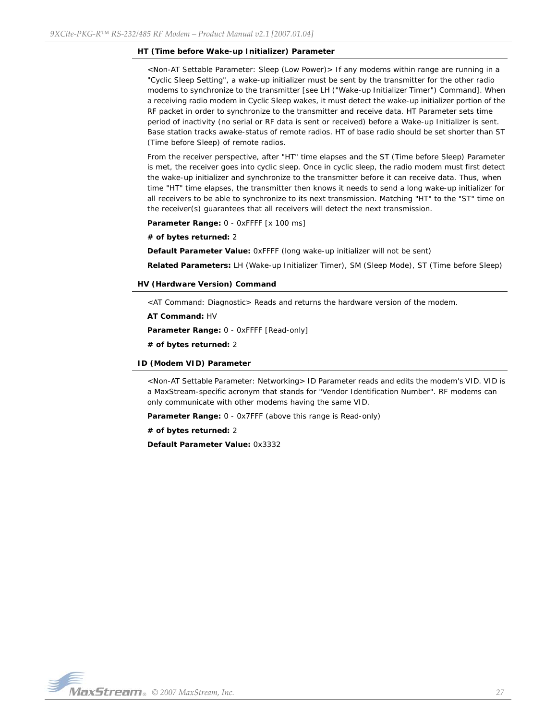### **HT (Time before Wake-up Initializer) Parameter**

<Non-AT Settable Parameter: Sleep (Low Power)> If any modems within range are running in a "Cyclic Sleep Setting", a wake-up initializer must be sent by the transmitter for the other radio modems to synchronize to the transmitter [see LH ("Wake-up Initializer Timer") Command]. When a receiving radio modem in Cyclic Sleep wakes, it must detect the wake-up initializer portion of the RF packet in order to synchronize to the transmitter and receive data. HT Parameter sets time period of inactivity (no serial or RF data is sent or received) before a Wake-up Initializer is sent. Base station tracks awake-status of remote radios. HT of base radio should be set shorter than ST (Time before Sleep) of remote radios.

From the receiver perspective, after "HT" time elapses and the ST (Time before Sleep) Parameter is met, the receiver goes into cyclic sleep. Once in cyclic sleep, the radio modem must first detect the wake-up initializer and synchronize to the transmitter before it can receive data. Thus, when time "HT" time elapses, the transmitter then knows it needs to send a long wake-up initializer for all receivers to be able to synchronize to its next transmission. Matching "HT" to the "ST" time on the receiver(s) guarantees that all receivers will detect the next transmission.

Parameter Range: 0 - 0xFFFF [x 100 ms]

**# of bytes returned:** 2

**Default Parameter Value:** 0xFFFF (long wake-up initializer will not be sent)

**Related Parameters:** LH (Wake-up Initializer Timer), SM (Sleep Mode), ST (Time before Sleep)

**HV (Hardware Version) Command** 

<AT Command: Diagnostic> Reads and returns the hardware version of the modem.

**AT Command:** HV

**Parameter Range:** 0 - 0xFFFF [Read-only]

**# of bytes returned:** 2

#### **ID (Modem VID) Parameter**

<Non-AT Settable Parameter: Networking> ID Parameter reads and edits the modem's VID. VID is a MaxStream-specific acronym that stands for "Vendor Identification Number". RF modems can only communicate with other modems having the same VID.

**Parameter Range:** 0 - 0x7FFF (above this range is Read-only)

**# of bytes returned:** 2

**Default Parameter Value:** 0x3332

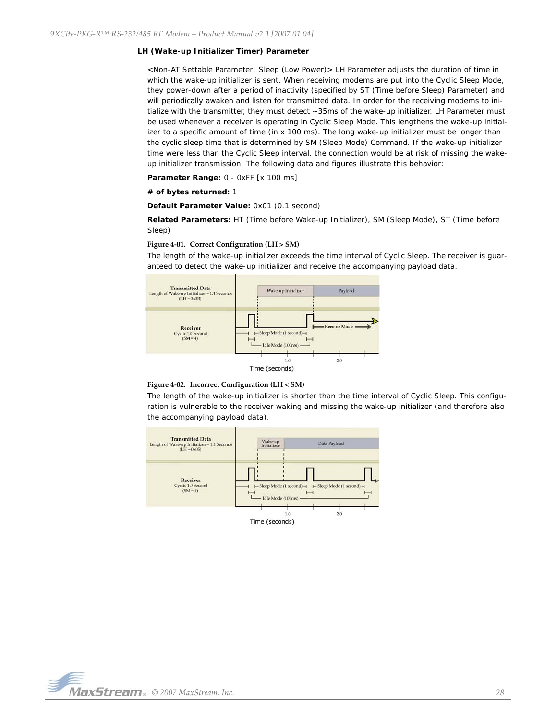#### **LH (Wake-up Initializer Timer) Parameter**

<Non-AT Settable Parameter: Sleep (Low Power)> LH Parameter adjusts the duration of time in which the wake-up initializer is sent. When receiving modems are put into the Cyclic Sleep Mode, they power-down after a period of inactivity (specified by ST (Time before Sleep) Parameter) and will periodically awaken and listen for transmitted data. In order for the receiving modems to initialize with the transmitter, they must detect ~35ms of the wake-up initializer. LH Parameter must be used whenever a receiver is operating in Cyclic Sleep Mode. This lengthens the wake-up initializer to a specific amount of time (in x 100 ms). The long wake-up initializer must be longer than the cyclic sleep time that is determined by SM (Sleep Mode) Command. If the wake-up initializer time were less than the Cyclic Sleep interval, the connection would be at risk of missing the wakeup initializer transmission. The following data and figures illustrate this behavior:

**Parameter Range:** 0 - 0xFF [x 100 ms]

#### **# of bytes returned:** 1

**Default Parameter Value:** 0x01 (0.1 second)

**Related Parameters:** HT (Time before Wake-up Initializer), SM (Sleep Mode), ST (Time before Sleep)

#### **Figure 4‐01. Correct Configuration (LH > SM)**

The length of the wake-up initializer exceeds the time interval of Cyclic Sleep. The receiver is guaranteed to detect the wake-up initializer and receive the accompanying payload data.



#### **Figure 4‐02. Incorrect Configuration (LH < SM)**

The length of the wake-up initializer is shorter than the time interval of Cyclic Sleep. This configuration is vulnerable to the receiver waking and missing the wake-up initializer (and therefore also the accompanying payload data).



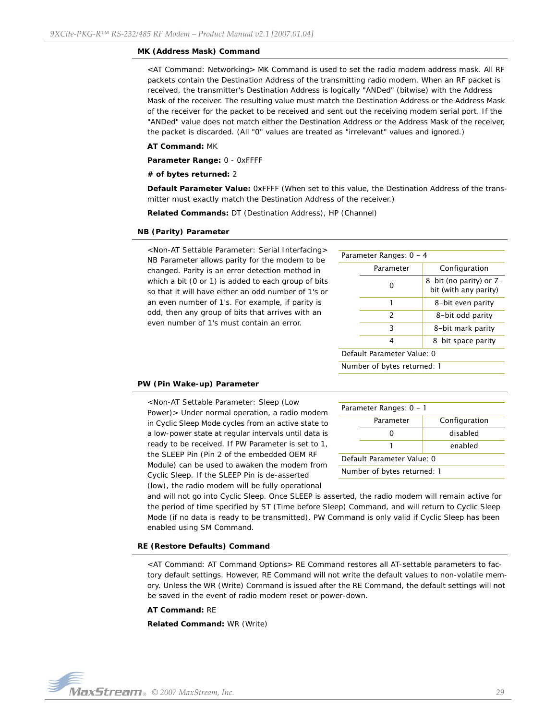#### **MK (Address Mask) Command**

<AT Command: Networking> MK Command is used to set the radio modem address mask. All RF packets contain the Destination Address of the transmitting radio modem. When an RF packet is received, the transmitter's Destination Address is logically "ANDed" (bitwise) with the Address Mask of the receiver. The resulting value must match the Destination Address or the Address Mask of the receiver for the packet to be received and sent out the receiving modem serial port. If the "ANDed" value does not match either the Destination Address or the Address Mask of the receiver, the packet is discarded. (All "0" values are treated as "irrelevant" values and ignored.)

#### **AT Command:** MK

**Parameter Range:** 0 - 0xFFFF

#### **# of bytes returned:** 2

**Default Parameter Value:** 0xFFFF (When set to this value, the Destination Address of the transmitter must exactly match the Destination Address of the receiver.)

**Related Commands:** DT (Destination Address), HP (Channel)

#### **NB (Parity) Parameter**

<Non-AT Settable Parameter: Serial Interfacing> NB Parameter allows parity for the modem to be changed. Parity is an error detection method in which a bit (0 or 1) is added to each group of bits so that it will have either an odd number of 1's or an even number of 1's. For example, if parity is odd, then any group of bits that arrives with an even number of 1's must contain an error.

| Parameter Ranges: 0 - 4 |               |                                                  |  |
|-------------------------|---------------|--------------------------------------------------|--|
|                         | Parameter     | Configuration                                    |  |
|                         | O             | 8-bit (no parity) or 7-<br>bit (with any parity) |  |
|                         |               | 8-bit even parity                                |  |
|                         | $\mathcal{P}$ | 8-bit odd parity                                 |  |
|                         | 3             | 8-bit mark parity                                |  |
|                         | 4             | 8-bit space parity                               |  |
|                         |               |                                                  |  |

Default Parameter Value: 0

Number of bytes returned: 1

### **PW (Pin Wake-up) Parameter**

<Non-AT Settable Parameter: Sleep (Low Power)> Under normal operation, a radio modem in Cyclic Sleep Mode cycles from an active state to a low-power state at regular intervals until data is ready to be received. If PW Parameter is set to 1, the SLEEP Pin (Pin 2 of the embedded OEM RF Module) can be used to awaken the modem from Cyclic Sleep. If the SLEEP Pin is de-asserted (low), the radio modem will be fully operational

| Parameter Ranges: 0 - 1    |           |               |  |
|----------------------------|-----------|---------------|--|
|                            | Parameter | Configuration |  |
|                            |           | disabled      |  |
|                            |           | enabled       |  |
| Default Parameter Value: 0 |           |               |  |

Number of bytes returned: 1

and will not go into Cyclic Sleep. Once SLEEP is asserted, the radio modem will remain active for the period of time specified by ST (Time before Sleep) Command, and will return to Cyclic Sleep Mode (if no data is ready to be transmitted). PW Command is only valid if Cyclic Sleep has been enabled using SM Command.

#### **RE (Restore Defaults) Command**

<AT Command: AT Command Options> RE Command restores all AT-settable parameters to factory default settings. However, RE Command will not write the default values to non-volatile memory. Unless the WR (Write) Command is issued after the RE Command, the default settings will not be saved in the event of radio modem reset or power-down.

#### **AT Command:** RE

**Related Command:** WR (Write)

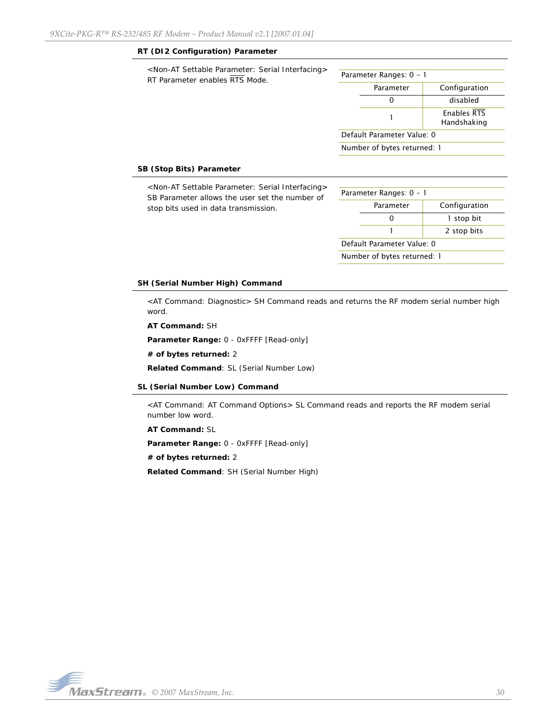## **RT (DI2 Configuration) Parameter**

| <non-at interfacing="" parameter:="" serial="" settable=""><br/>RT Parameter enables RTS Mode.</non-at> | Parameter Ranges: $0 - 1$   |           |                            |
|---------------------------------------------------------------------------------------------------------|-----------------------------|-----------|----------------------------|
|                                                                                                         |                             | Parameter | Configuration              |
|                                                                                                         |                             | 0         | disabled                   |
|                                                                                                         |                             |           | Enables RTS<br>Handshaking |
|                                                                                                         | Default Parameter Value: 0  |           |                            |
|                                                                                                         | Number of bytes returned: 1 |           |                            |
|                                                                                                         |                             |           |                            |

## **SB (Stop Bits) Parameter**

| <non-at interfacing="" parameter:="" serial="" settable=""><br/>SB Parameter allows the user set the number of<br/>stop bits used in data transmission.</non-at> | Parameter Ranges: 0 - 1    |                             |               |
|------------------------------------------------------------------------------------------------------------------------------------------------------------------|----------------------------|-----------------------------|---------------|
|                                                                                                                                                                  |                            | Parameter                   | Configuration |
|                                                                                                                                                                  |                            | 0                           | I stop bit    |
|                                                                                                                                                                  |                            |                             | 2 stop bits   |
|                                                                                                                                                                  | Default Parameter Value: 0 |                             |               |
|                                                                                                                                                                  |                            | Number of bytes returned: 1 |               |

#### **SH (Serial Number High) Command**

<AT Command: Diagnostic> SH Command reads and returns the RF modem serial number high word.

**AT Command:** SH

**Parameter Range:** 0 - 0xFFFF [Read-only]

**# of bytes returned:** 2

**Related Command**: SL (Serial Number Low)

#### **SL (Serial Number Low) Command**

<AT Command: AT Command Options> SL Command reads and reports the RF modem serial number low word.

**AT Command:** SL

**Parameter Range:** 0 - 0xFFFF [Read-only]

**# of bytes returned:** 2

**Related Command**: SH (Serial Number High)

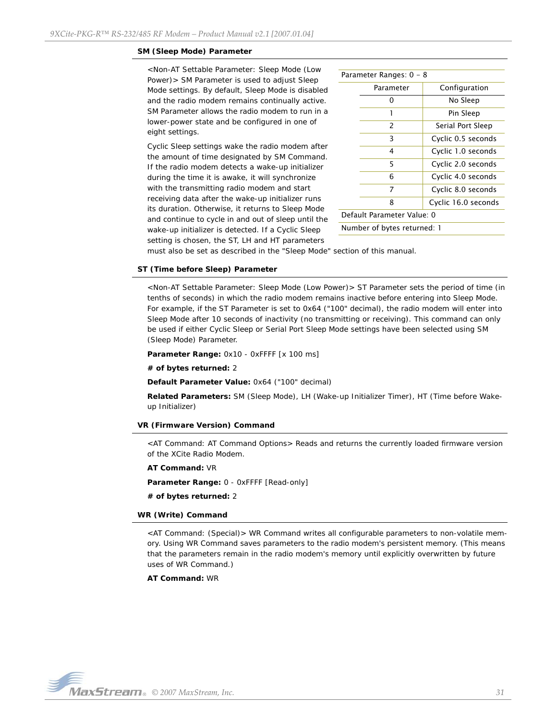#### **SM (Sleep Mode) Parameter**

<Non-AT Settable Parameter: Sleep Mode (Low Power)> SM Parameter is used to adjust Sleep Mode settings. By default, Sleep Mode is disabled and the radio modem remains continually active. SM Parameter allows the radio modem to run in a lower-power state and be configured in one of eight settings.

Cyclic Sleep settings wake the radio modem after the amount of time designated by SM Command. If the radio modem detects a wake-up initializer during the time it is awake, it will synchronize with the transmitting radio modem and start receiving data after the wake-up initializer runs its duration. Otherwise, it returns to Sleep Mode and continue to cycle in and out of sleep until the wake-up initializer is detected. If a Cyclic Sleep setting is chosen, the ST, LH and HT parameters

| Parameter Ranges: 0 - 8     |           |                     |  |  |
|-----------------------------|-----------|---------------------|--|--|
|                             | Parameter | Configuration       |  |  |
|                             | 0         | No Sleep            |  |  |
|                             | 1         | Pin Sleep           |  |  |
|                             | 2         | Serial Port Sleep   |  |  |
|                             | 3         | Cyclic 0.5 seconds  |  |  |
|                             | 4         | Cyclic 1.0 seconds  |  |  |
|                             | 5         | Cyclic 2.0 seconds  |  |  |
|                             | 6         | Cyclic 4.0 seconds  |  |  |
|                             | 7         | Cyclic 8.0 seconds  |  |  |
|                             | 8         | Cyclic 16.0 seconds |  |  |
| Default Parameter Value: 0  |           |                     |  |  |
| Number of bytes returned: 1 |           |                     |  |  |

must also be set as described in the "Sleep Mode" section of this manual.

## **ST (Time before Sleep) Parameter**

<Non-AT Settable Parameter: Sleep Mode (Low Power)> ST Parameter sets the period of time (in tenths of seconds) in which the radio modem remains inactive before entering into Sleep Mode. For example, if the ST Parameter is set to 0x64 ("100" decimal), the radio modem will enter into Sleep Mode after 10 seconds of inactivity (no transmitting or receiving). This command can only be used if either Cyclic Sleep or Serial Port Sleep Mode settings have been selected using SM (Sleep Mode) Parameter.

**Parameter Range:** 0x10 - 0xFFFF [x 100 ms]

#### **# of bytes returned:** 2

**Default Parameter Value:** 0x64 ("100" decimal)

**Related Parameters:** SM (Sleep Mode), LH (Wake-up Initializer Timer), HT (Time before Wakeup Initializer)

#### **VR (Firmware Version) Command**

<AT Command: AT Command Options> Reads and returns the currently loaded firmware version of the XCite Radio Modem.

**AT Command:** VR

**Parameter Range:** 0 - 0xFFFF [Read-only]

**# of bytes returned:** 2

#### **WR (Write) Command**

<AT Command: (Special)> WR Command writes all configurable parameters to non-volatile memory. Using WR Command saves parameters to the radio modem's persistent memory. (This means that the parameters remain in the radio modem's memory until explicitly overwritten by future uses of WR Command.)

**AT Command:** WR

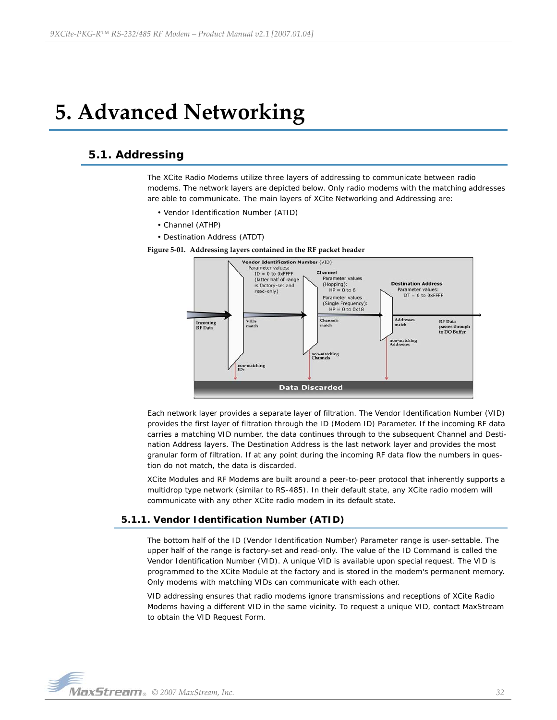# <span id="page-31-0"></span>**5. Advanced Networking**

## <span id="page-31-1"></span>**5.1. Addressing**

The XCite Radio Modems utilize three layers of addressing to communicate between radio modems. The network layers are depicted below. Only radio modems with the matching addresses are able to communicate. The main layers of XCite Networking and Addressing are:

- Vendor Identification Number (ATID)
- Channel (ATHP)
- Destination Address (ATDT)

**Figure 5‐01. Addressing layers contained in the RF packet header**



Each network layer provides a separate layer of filtration. The Vendor Identification Number (VID) provides the first layer of filtration through the ID (Modem ID) Parameter. If the incoming RF data carries a matching VID number, the data continues through to the subsequent Channel and Destination Address layers. The Destination Address is the last network layer and provides the most granular form of filtration. If at any point during the incoming RF data flow the numbers in question do not match, the data is discarded.

XCite Modules and RF Modems are built around a peer-to-peer protocol that inherently supports a multidrop type network (similar to RS-485). In their default state, any XCite radio modem will communicate with any other XCite radio modem in its default state.

## <span id="page-31-2"></span>**5.1.1. Vendor Identification Number (ATID)**

The bottom half of the ID (Vendor Identification Number) Parameter range is user-settable. The upper half of the range is factory-set and read-only. The value of the ID Command is called the Vendor Identification Number (VID). A unique VID is available upon special request. The VID is programmed to the XCite Module at the factory and is stored in the modem's permanent memory. Only modems with matching VIDs can communicate with each other.

VID addressing ensures that radio modems ignore transmissions and receptions of XCite Radio Modems having a different VID in the same vicinity. To request a unique VID, contact MaxStream to obtain the VID Request Form.

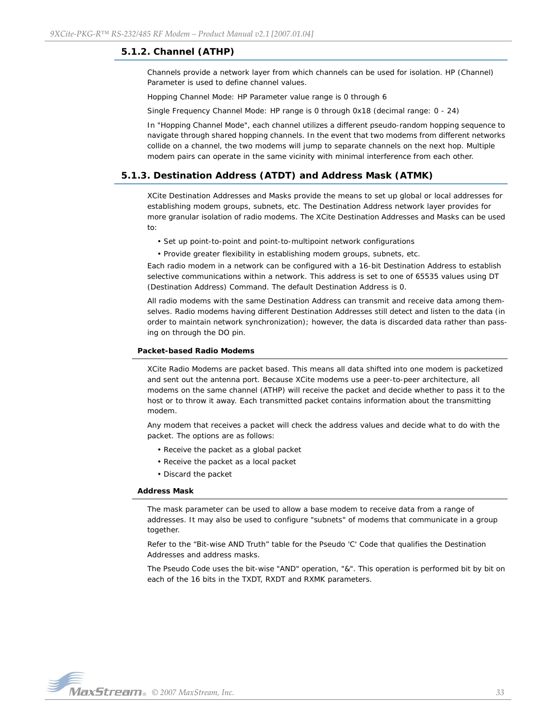## <span id="page-32-0"></span>**5.1.2. Channel (ATHP)**

Channels provide a network layer from which channels can be used for isolation. HP (Channel) Parameter is used to define channel values.

Hopping Channel Mode: HP Parameter value range is 0 through 6

Single Frequency Channel Mode: HP range is 0 through 0x18 (decimal range: 0 - 24)

In "Hopping Channel Mode", each channel utilizes a different pseudo-random hopping sequence to navigate through shared hopping channels. In the event that two modems from different networks collide on a channel, the two modems will jump to separate channels on the next hop. Multiple modem pairs can operate in the same vicinity with minimal interference from each other.

## <span id="page-32-1"></span>**5.1.3. Destination Address (ATDT) and Address Mask (ATMK)**

XCite Destination Addresses and Masks provide the means to set up global or local addresses for establishing modem groups, subnets, etc. The Destination Address network layer provides for more granular isolation of radio modems. The XCite Destination Addresses and Masks can be used to:

• Set up point-to-point and point-to-multipoint network configurations

• Provide greater flexibility in establishing modem groups, subnets, etc.

Each radio modem in a network can be configured with a 16-bit Destination Address to establish selective communications within a network. This address is set to one of 65535 values using DT (Destination Address) Command. The default Destination Address is 0.

All radio modems with the same Destination Address can transmit and receive data among themselves. Radio modems having different Destination Addresses still detect and listen to the data (in order to maintain network synchronization); however, the data is discarded data rather than passing on through the DO pin.

#### **Packet-based Radio Modems**

XCite Radio Modems are packet based. This means all data shifted into one modem is packetized and sent out the antenna port. Because XCite modems use a peer-to-peer architecture, all modems on the same channel (ATHP) will receive the packet and decide whether to pass it to the host or to throw it away. Each transmitted packet contains information about the transmitting modem.

Any modem that receives a packet will check the address values and decide what to do with the packet. The options are as follows:

- Receive the packet as a global packet
- Receive the packet as a local packet
- Discard the packet

#### **Address Mask**

The mask parameter can be used to allow a base modem to receive data from a range of addresses. It may also be used to configure "subnets" of modems that communicate in a group together.

Refer to the "Bit-wise AND Truth" table for the Pseudo 'C' Code that qualifies the Destination Addresses and address masks.

The Pseudo Code uses the bit-wise "AND" operation, "&". This operation is performed bit by bit on each of the 16 bits in the TXDT, RXDT and RXMK parameters.

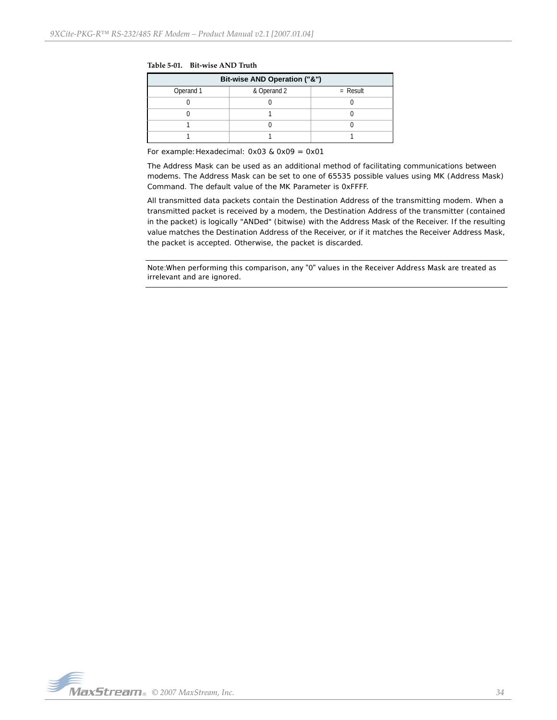| Bit-wise AND Operation ("&") |             |            |  |  |  |
|------------------------------|-------------|------------|--|--|--|
| Operand 1                    | & Operand 2 | $=$ Result |  |  |  |
|                              |             |            |  |  |  |
|                              |             |            |  |  |  |
|                              |             |            |  |  |  |
|                              |             |            |  |  |  |

**Table 5‐01. Bit‐wise AND Truth**

For example:Hexadecimal: 0x03 & 0x09 = 0x01

The Address Mask can be used as an additional method of facilitating communications between modems. The Address Mask can be set to one of 65535 possible values using MK (Address Mask) Command. The default value of the MK Parameter is 0xFFFF.

All transmitted data packets contain the Destination Address of the transmitting modem. When a transmitted packet is received by a modem, the Destination Address of the transmitter (contained in the packet) is logically "ANDed" (bitwise) with the Address Mask of the Receiver. If the resulting value matches the Destination Address of the Receiver, or if it matches the Receiver Address Mask, the packet is accepted. Otherwise, the packet is discarded.

Note:When performing this comparison, any "0" values in the Receiver Address Mask are treated as irrelevant and are ignored.

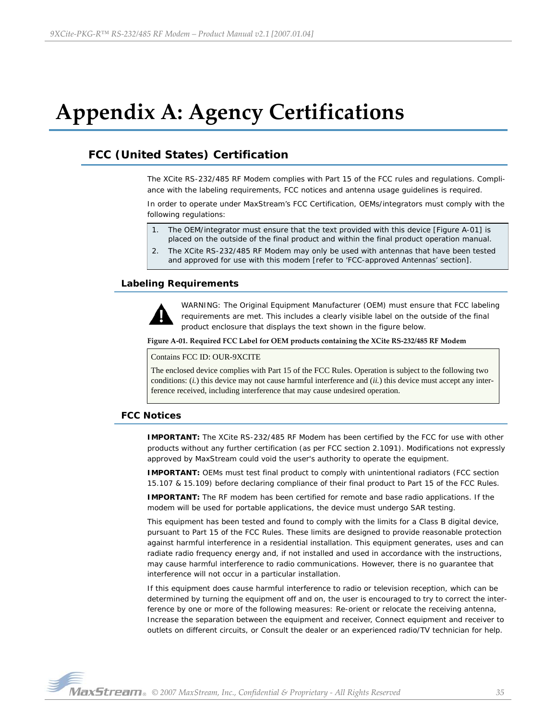# <span id="page-34-0"></span>**Appendix A: Agency Certifications**

# <span id="page-34-1"></span>**FCC (United States) Certification**

The XCite RS-232/485 RF Modem complies with Part 15 of the FCC rules and regulations. Compliance with the labeling requirements, FCC notices and antenna usage guidelines is required.

In order to operate under MaxStream's FCC Certification, OEMs/integrators must comply with the following regulations:

- 1. The OEM/integrator must ensure that the text provided with this device [Figure A-01] is placed on the outside of the final product and within the final product operation manual.
- 2. The XCite RS-232/485 RF Modem may only be used with antennas that have been tested and approved for use with this modem [refer to 'FCC-approved Antennas' section].

## <span id="page-34-2"></span>**Labeling Requirements**



WARNING: The Original Equipment Manufacturer (OEM) must ensure that FCC labeling requirements are met. This includes a clearly visible label on the outside of the final product enclosure that displays the text shown in the figure below.

#### **Figure A‐01. Required FCC Label for OEM products containing the XCite RS‐232/485 RF Modem**

#### Contains FCC ID: OUR-9XCITE

The enclosed device complies with Part 15 of the FCC Rules. Operation is subject to the following two conditions: (*i.*) this device may not cause harmful interference and (*ii.*) this device must accept any interference received, including interference that may cause undesired operation.

## <span id="page-34-3"></span>**FCC Notices**

**IMPORTANT:** The XCite RS-232/485 RF Modem has been certified by the FCC for use with other products without any further certification (as per FCC section 2.1091). Modifications not expressly approved by MaxStream could void the user's authority to operate the equipment.

**IMPORTANT:** OEMs must test final product to comply with unintentional radiators (FCC section 15.107 & 15.109) before declaring compliance of their final product to Part 15 of the FCC Rules.

**IMPORTANT:** The RF modem has been certified for remote and base radio applications. If the modem will be used for portable applications, the device must undergo SAR testing.

This equipment has been tested and found to comply with the limits for a Class B digital device, pursuant to Part 15 of the FCC Rules. These limits are designed to provide reasonable protection against harmful interference in a residential installation. This equipment generates, uses and can radiate radio frequency energy and, if not installed and used in accordance with the instructions, may cause harmful interference to radio communications. However, there is no guarantee that interference will not occur in a particular installation.

If this equipment does cause harmful interference to radio or television reception, which can be determined by turning the equipment off and on, the user is encouraged to try to correct the interference by one or more of the following measures: Re-orient or relocate the receiving antenna, Increase the separation between the equipment and receiver, Connect equipment and receiver to outlets on different circuits, or Consult the dealer or an experienced radio/TV technician for help.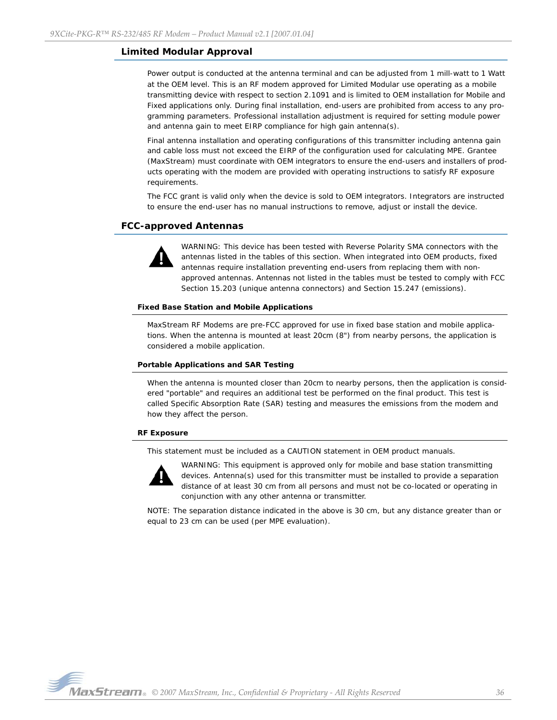## <span id="page-35-0"></span>**Limited Modular Approval**

Power output is conducted at the antenna terminal and can be adjusted from 1 mill-watt to 1 Watt at the OEM level. This is an RF modem approved for Limited Modular use operating as a mobile transmitting device with respect to section 2.1091 and is limited to OEM installation for Mobile and Fixed applications only. During final installation, end-users are prohibited from access to any programming parameters. Professional installation adjustment is required for setting module power and antenna gain to meet EIRP compliance for high gain antenna(s).

Final antenna installation and operating configurations of this transmitter including antenna gain and cable loss must not exceed the EIRP of the configuration used for calculating MPE. Grantee (MaxStream) must coordinate with OEM integrators to ensure the end-users and installers of products operating with the modem are provided with operating instructions to satisfy RF exposure requirements.

The FCC grant is valid only when the device is sold to OEM integrators. Integrators are instructed to ensure the end-user has no manual instructions to remove, adjust or install the device.

## <span id="page-35-1"></span>**FCC-approved Antennas**



WARNING: This device has been tested with Reverse Polarity SMA connectors with the antennas listed in the tables of this section. When integrated into OEM products, fixed antennas require installation preventing end-users from replacing them with nonapproved antennas. Antennas not listed in the tables must be tested to comply with FCC Section 15.203 (unique antenna connectors) and Section 15.247 (emissions).

#### **Fixed Base Station and Mobile Applications**

MaxStream RF Modems are pre-FCC approved for use in fixed base station and mobile applications. When the antenna is mounted at least 20cm (8") from nearby persons, the application is considered a mobile application.

#### **Portable Applications and SAR Testing**

When the antenna is mounted closer than 20cm to nearby persons, then the application is considered "portable" and requires an additional test be performed on the final product. This test is called Specific Absorption Rate (SAR) testing and measures the emissions from the modem and how they affect the person.

#### **RF Exposure**

This statement must be included as a CAUTION statement in OEM product manuals.



WARNING: This equipment is approved only for mobile and base station transmitting devices. Antenna(s) used for this transmitter must be installed to provide a separation distance of at least 30 cm from all persons and must not be co-located or operating in conjunction with any other antenna or transmitter.

NOTE: The separation distance indicated in the above is 30 cm, but any distance greater than or equal to 23 cm can be used (per MPE evaluation).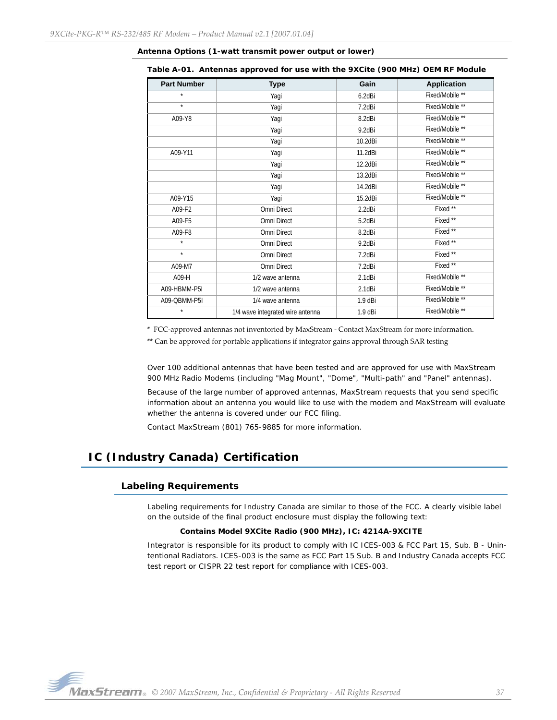| <b>Part Number</b> | <b>Type</b>                      | Gain      | <b>Application</b>  |
|--------------------|----------------------------------|-----------|---------------------|
| $\star$            | Yagi                             | 6.2dBi    | Fixed/Mobile **     |
| $\star$            | Yagi                             | 7.2dBi    | Fixed/Mobile **     |
| A09-Y8             | Yagi                             | 8.2dBi    | Fixed/Mobile **     |
|                    | Yagi                             | 9.2dBi    | Fixed/Mobile **     |
|                    | Yagi                             | 10.2dBi   | Fixed/Mobile **     |
| A09-Y11            | Yagi                             | 11.2dBi   | Fixed/Mobile **     |
|                    | Yagi                             | 12.2dBi   | Fixed/Mobile **     |
|                    | Yagi                             | 13.2dBi   | Fixed/Mobile **     |
|                    | Yagi                             | 14.2dBi   | Fixed/Mobile **     |
| A09-Y15            | Yagi                             | 15.2dBi   | Fixed/Mobile **     |
| A09-F2             | Omni Direct                      | 2.2dBi    | Fixed <sup>**</sup> |
| A09-F5             | Omni Direct                      | 5.2dBi    | Fixed **            |
| A09-F8             | Omni Direct                      | 8.2dBi    | Fixed **            |
| $\star$            | Omni Direct                      | 9.2dBi    | Fixed <sup>**</sup> |
| $\star$            | Omni Direct                      | 7.2dBi    | Fixed **            |
| A09-M7             | Omni Direct                      | 7.2dBi    | Fixed **            |
| A09-H              | 1/2 wave antenna                 | 2.1dBi    | Fixed/Mobile **     |
| A09-HBMM-P5I       | 1/2 wave antenna                 | 2.1dBi    | Fixed/Mobile **     |
| A09-QBMM-P5I       | 1/4 wave antenna                 | 1.9 dBi   | Fixed/Mobile **     |
| $\star$            | 1/4 wave integrated wire antenna | $1.9$ dBi | Fixed/Mobile **     |

#### **Antenna Options (1-watt transmit power output or lower)**

**Table A-01. Antennas approved for use with the 9XCite (900 MHz) OEM RF Module**

\* FCC‐approved antennas not inventoried by MaxStream ‐ Contact MaxStream for more information.

\*\* Can be approved for portable applications if integrator gains approval through SAR testing

Over 100 additional antennas that have been tested and are approved for use with MaxStream 900 MHz Radio Modems (including "Mag Mount", "Dome", "Multi-path" and "Panel" antennas).

Because of the large number of approved antennas, MaxStream requests that you send specific information about an antenna you would like to use with the modem and MaxStream will evaluate whether the antenna is covered under our FCC filing.

Contact MaxStream (801) 765-9885 for more information.

# <span id="page-36-1"></span><span id="page-36-0"></span>**IC (Industry Canada) Certification**

### **Labeling Requirements**

Labeling requirements for Industry Canada are similar to those of the FCC. A clearly visible label on the outside of the final product enclosure must display the following text:

#### **Contains Model 9XCite Radio (900 MHz), IC: 4214A-9XCITE**

Integrator is responsible for its product to comply with IC ICES-003 & FCC Part 15, Sub. B - Unintentional Radiators. ICES-003 is the same as FCC Part 15 Sub. B and Industry Canada accepts FCC test report or CISPR 22 test report for compliance with ICES-003.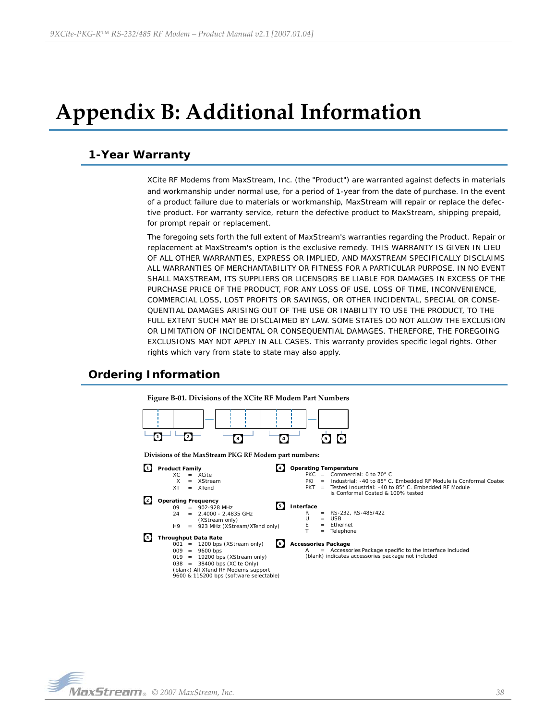# <span id="page-37-0"></span>**Appendix B: Additional Information**

## <span id="page-37-1"></span>**1-Year Warranty**

XCite RF Modems from MaxStream, Inc. (the "Product") are warranted against defects in materials and workmanship under normal use, for a period of 1-year from the date of purchase. In the event of a product failure due to materials or workmanship, MaxStream will repair or replace the defective product. For warranty service, return the defective product to MaxStream, shipping prepaid, for prompt repair or replacement.

The foregoing sets forth the full extent of MaxStream's warranties regarding the Product. Repair or replacement at MaxStream's option is the exclusive remedy. THIS WARRANTY IS GIVEN IN LIEU OF ALL OTHER WARRANTIES, EXPRESS OR IMPLIED, AND MAXSTREAM SPECIFICALLY DISCLAIMS ALL WARRANTIES OF MERCHANTABILITY OR FITNESS FOR A PARTICULAR PURPOSE. IN NO EVENT SHALL MAXSTREAM, ITS SUPPLIERS OR LICENSORS BE LIABLE FOR DAMAGES IN EXCESS OF THE PURCHASE PRICE OF THE PRODUCT, FOR ANY LOSS OF USE, LOSS OF TIME, INCONVENIENCE, COMMERCIAL LOSS, LOST PROFITS OR SAVINGS, OR OTHER INCIDENTAL, SPECIAL OR CONSE-QUENTIAL DAMAGES ARISING OUT OF THE USE OR INABILITY TO USE THE PRODUCT, TO THE FULL EXTENT SUCH MAY BE DISCLAIMED BY LAW. SOME STATES DO NOT ALLOW THE EXCLUSION OR LIMITATION OF INCIDENTAL OR CONSEQUENTIAL DAMAGES. THEREFORE, THE FOREGOING EXCLUSIONS MAY NOT APPLY IN ALL CASES. This warranty provides specific legal rights. Other rights which vary from state to state may also apply.

# <span id="page-37-2"></span>**Ordering Information**

**Figure B‐01. Divisions of the XCite RF Modem Part Numbers 3 4 5 6 1 2 Interface 5**  $R = RS-232, RS-485/422$ <br>U = USB  $U = USB$ <br>E = Ether Ethernet T = Telephone **Operating Temperature 4** PKC = Commercial: 0 to 70 $^{\circ}$  C<br>PKI = Industrial: -40 to 85 $^{\circ}$  C PKI = Industrial: -40 to 85° C. Embedded RF Module is Conformal Coated PKT = Tested Industrial: -40 to 85° C. Embedded RF Module is Conformal Coated & 100% tested **Accessories Package 6** Accessories Package specific to the interface included (blank) indicates accessories package not included **Product Family 1**  $XC = XCite$  $X = XStream$ <br> $XT = XTend$ XTend **Operating Frequency 2**  $09 = 902-928 \text{ MHz}$ <br> $24 = 2.4000 - 2.48$ 2.4000 - 2.4835 GHz (XStream only) H9 = 923 MHz (XStream/XTend only) **Throughput Data Rate 3** 001 = 1200 bps (XStream only) 009 = 9600 bps  $019 = 19200$  bps (XStream only) 038 = 38400 bps (XCite Only) (blank) All XTend RF Modems support 9600 & 115200 bps (software selectable) **Divisions of the MaxStream PKG RF Modem part numbers:**